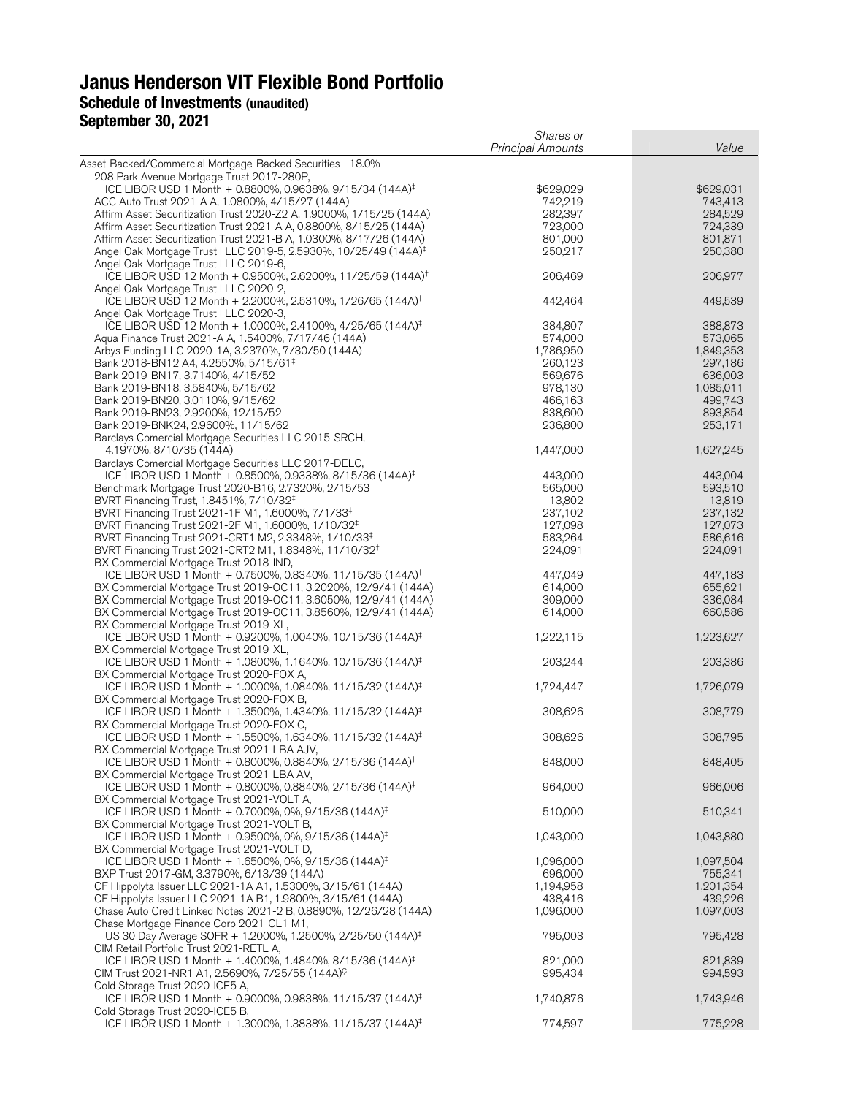# **Janus Henderson VIT Flexible Bond Portfolio Schedule of Investments (unaudited)**

# **September 30, 2021**

|                                                                                                                                                            | Shares or                |                    |
|------------------------------------------------------------------------------------------------------------------------------------------------------------|--------------------------|--------------------|
|                                                                                                                                                            | <b>Principal Amounts</b> | Value              |
| Asset-Backed/Commercial Mortgage-Backed Securities- 18.0%<br>208 Park Avenue Mortgage Trust 2017-280P,                                                     |                          |                    |
| ICE LIBOR USD 1 Month + 0.8800%, 0.9638%, 9/15/34 (144A) <sup>‡</sup>                                                                                      | \$629,029                | \$629,031          |
| ACC Auto Trust 2021-A A, 1.0800%, 4/15/27 (144A)                                                                                                           | 742,219                  | 743,413            |
| Affirm Asset Securitization Trust 2020-Z2 A, 1.9000%, 1/15/25 (144A)<br>Affirm Asset Securitization Trust 2021-A A, 0.8800%, 8/15/25 (144A)                | 282,397<br>723,000       | 284,529<br>724,339 |
| Affirm Asset Securitization Trust 2021-B A, 1.0300%, 8/17/26 (144A)                                                                                        | 801,000                  | 801,871            |
| Angel Oak Mortgage Trust I LLC 2019-5, 2.5930%, 10/25/49 (144A) <sup>‡</sup>                                                                               | 250,217                  | 250,380            |
| Angel Oak Mortgage Trust I LLC 2019-6,<br>ICE LIBOR USD 12 Month + 0.9500%, 2.6200%, 11/25/59 (144A) <sup>‡</sup>                                          | 206,469                  | 206,977            |
| Angel Oak Mortgage Trust I LLC 2020-2,<br>ICE LIBOR USD 12 Month + 2.2000%, 2.5310%, 1/26/65 (144A) <sup>‡</sup><br>Angel Oak Mortgage Trust I LLC 2020-3, | 442,464                  | 449,539            |
| ICE LIBOR USD 12 Month + 1.0000%, 2.4100%, 4/25/65 (144A) <sup>‡</sup>                                                                                     | 384,807                  | 388,873            |
| Aqua Finance Trust 2021-A A, 1.5400%, 7/17/46 (144A)                                                                                                       | 574,000                  | 573,065            |
| Arbys Funding LLC 2020-1A, 3.2370%, 7/30/50 (144A)                                                                                                         | 1,786,950                | 1,849,353          |
| Bank 2018-BN12 A4, 4.2550%, 5/15/61 <sup>‡</sup><br>Bank 2019-BN17, 3.7140%, 4/15/52                                                                       | 260,123<br>569,676       | 297,186<br>636,003 |
| Bank 2019-BN18, 3.5840%, 5/15/62                                                                                                                           | 978,130                  | 1,085,011          |
| Bank 2019-BN20, 3.0110%, 9/15/62                                                                                                                           | 466,163                  | 499,743            |
| Bank 2019-BN23, 2.9200%, 12/15/52<br>Bank 2019-BNK24, 2.9600%, 11/15/62                                                                                    | 838,600<br>236,800       | 893,854<br>253,171 |
| Barclays Comercial Mortgage Securities LLC 2015-SRCH,                                                                                                      |                          |                    |
| 4.1970%, 8/10/35 (144A)                                                                                                                                    | 1,447,000                | 1,627,245          |
| Barclays Comercial Mortgage Securities LLC 2017-DELC,                                                                                                      |                          |                    |
| ICE LIBOR USD 1 Month + 0.8500%, 0.9338%, 8/15/36 (144A) <sup>‡</sup><br>Benchmark Mortgage Trust 2020-B16, 2.7320%, 2/15/53                               | 443,000<br>565,000       | 443,004<br>593,510 |
| BVRT Financing Trust, 1.8451%, 7/10/32 <sup>‡</sup>                                                                                                        | 13,802                   | 13,819             |
| BVRT Financing Trust 2021-1F M1, 1.6000%, 7/1/33 <sup>‡</sup>                                                                                              | 237,102                  | 237,132            |
| BVRT Financing Trust 2021-2F M1, 1.6000%, 1/10/32 <sup>‡</sup>                                                                                             | 127,098                  | 127,073            |
| BVRT Financing Trust 2021-CRT1 M2, 2.3348%, 1/10/33 <sup>‡</sup>                                                                                           | 583,264                  | 586,616            |
| BVRT Financing Trust 2021-CRT2 M1, 1.8348%, 11/10/32 <sup>‡</sup><br>BX Commercial Mortgage Trust 2018-IND,                                                | 224,091                  | 224,091            |
| ICE LIBOR USD 1 Month + 0.7500%, 0.8340%, 11/15/35 (144A) <sup>‡</sup>                                                                                     | 447,049                  | 447,183            |
| BX Commercial Mortgage Trust 2019-OC11, 3.2020%, 12/9/41 (144A)                                                                                            | 614,000                  | 655,621            |
| BX Commercial Mortgage Trust 2019-OC11, 3.6050%, 12/9/41 (144A)                                                                                            | 309,000                  | 336,084            |
| BX Commercial Mortgage Trust 2019-OC11, 3.8560%, 12/9/41 (144A)<br>BX Commercial Mortgage Trust 2019-XL,                                                   | 614,000                  | 660,586            |
| ICE LIBOR USD 1 Month + 0.9200%, 1.0040%, 10/15/36 (144A) <sup>‡</sup><br>BX Commercial Mortgage Trust 2019-XL,                                            | 1,222,115                | 1,223,627          |
| ICE LIBOR USD 1 Month + 1.0800%, 1.1640%, 10/15/36 (144A) <sup>‡</sup>                                                                                     | 203,244                  | 203,386            |
| BX Commercial Mortgage Trust 2020-FOX A,<br>ICE LIBOR USD 1 Month + 1.0000%, 1.0840%, 11/15/32 (144A) <sup>‡</sup>                                         | 1,724,447                | 1,726,079          |
| BX Commercial Mortgage Trust 2020-FOX B,<br>ICE LIBOR USD 1 Month + 1.3500%, 1.4340%, 11/15/32 (144A) <sup>‡</sup>                                         | 308,626                  | 308,779            |
| BX Commercial Mortgage Trust 2020-FOX C,                                                                                                                   |                          |                    |
| ICE LIBOR USD 1 Month + 1.5500%, 1.6340%, 11/15/32 (144A) <sup>‡</sup><br>BX Commercial Mortgage Trust 2021-LBA AJV,                                       | 308,626                  | 308,795            |
| ICE LIBOR USD 1 Month + 0.8000%, 0.8840%, 2/15/36 (144A) <sup>‡</sup><br>BX Commercial Mortgage Trust 2021-LBA AV,                                         | 848,000                  | 848,405            |
| ICE LIBOR USD 1 Month + 0.8000%, 0.8840%, 2/15/36 (144A) <sup>‡</sup><br>BX Commercial Mortgage Trust 2021-VOLT A,                                         | 964,000                  | 966,006            |
| ICE LIBOR USD 1 Month + 0.7000%, 0%, 9/15/36 (144A) <sup>‡</sup>                                                                                           | 510,000                  | 510,341            |
| BX Commercial Mortgage Trust 2021-VOLT B,<br>ICE LIBOR USD 1 Month + 0.9500%, 0%, 9/15/36 (144A) <sup>‡</sup>                                              | 1,043,000                | 1,043,880          |
| BX Commercial Mortgage Trust 2021-VOLT D,<br>ICE LIBOR USD 1 Month + 1.6500%, 0%, 9/15/36 (144A) <sup>‡</sup>                                              | 1,096,000                | 1,097,504          |
| BXP Trust 2017-GM, 3.3790%, 6/13/39 (144A)                                                                                                                 | 696,000                  | 755,341            |
| CF Hippolyta Issuer LLC 2021-1A A1, 1.5300%, 3/15/61 (144A)                                                                                                | 1,194,958                | 1,201,354          |
| CF Hippolyta Issuer LLC 2021-1A B1, 1.9800%, 3/15/61 (144A)                                                                                                | 438,416                  | 439,226            |
| Chase Auto Credit Linked Notes 2021-2 B, 0.8890%, 12/26/28 (144A)<br>Chase Mortgage Finance Corp 2021-CL1 M1,                                              | 1,096,000                | 1,097,003          |
| US 30 Day Average SOFR + 1.2000%, 1.2500%, 2/25/50 (144A) <sup>‡</sup>                                                                                     | 795,003                  | 795,428            |
| CIM Retail Portfolio Trust 2021-RETL A,<br>ICE LIBOR USD 1 Month + 1.4000%, 1.4840%, 8/15/36 (144A) <sup>‡</sup>                                           | 821,000                  | 821,839            |
| CIM Trust 2021-NR1 A1, 2.5690%, 7/25/55 (144A) <sup>C</sup>                                                                                                | 995,434                  | 994,593            |
| Cold Storage Trust 2020-ICE5 A,                                                                                                                            |                          |                    |
| ICE LIBOR USD 1 Month + 0.9000%, 0.9838%, 11/15/37 (144A) <sup>‡</sup><br>Cold Storage Trust 2020-ICE5 B,                                                  | 1,740,876                | 1,743,946          |
| ICE LIBOR USD 1 Month + 1.3000%, 1.3838%, 11/15/37 (144A) <sup>‡</sup>                                                                                     | 774,597                  | 775,228            |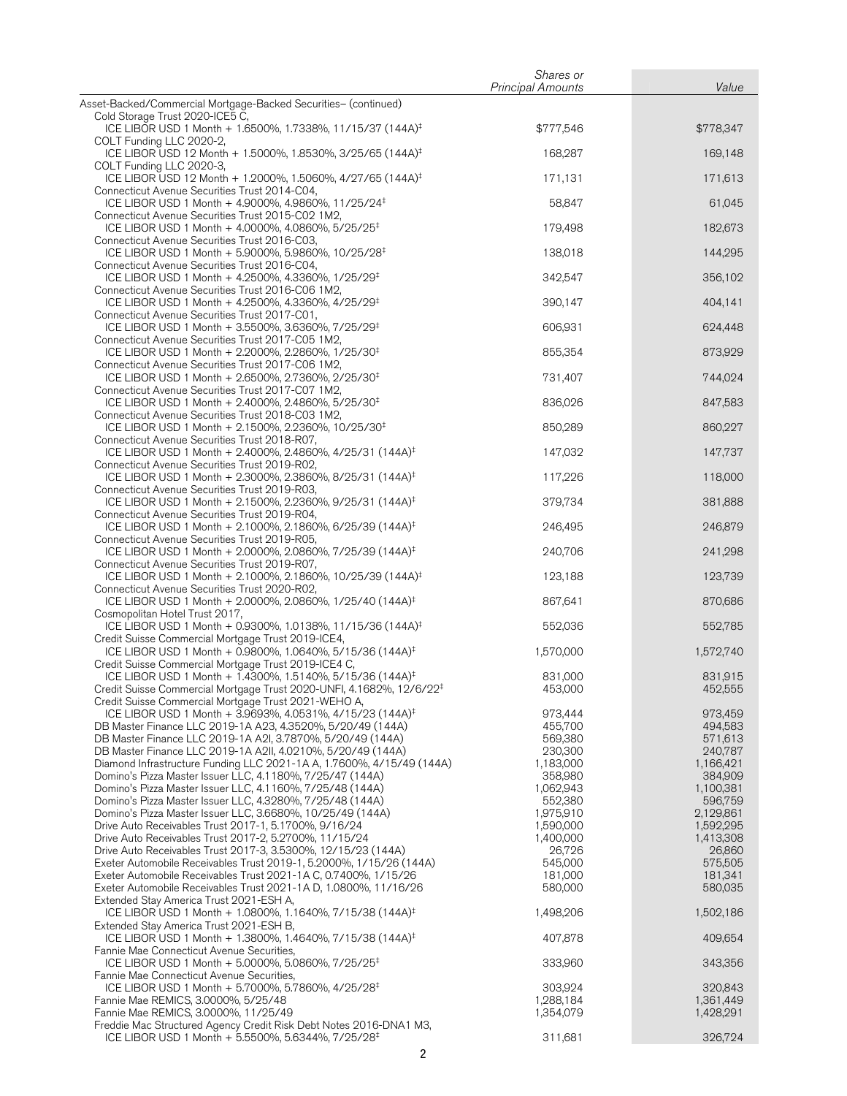|                                                                                                                                          | Shares or                |                    |
|------------------------------------------------------------------------------------------------------------------------------------------|--------------------------|--------------------|
| Asset-Backed/Commercial Mortgage-Backed Securities- (continued)                                                                          | <b>Principal Amounts</b> | Value              |
| Cold Storage Trust 2020-ICE5 C,                                                                                                          |                          |                    |
| ICE LIBOR USD 1 Month + 1.6500%, 1.7338%, 11/15/37 (144A) <sup>‡</sup><br>COLT Funding LLC 2020-2,                                       | \$777,546                | \$778,347          |
| ICE LIBOR USD 12 Month + 1.5000%, 1.8530%, 3/25/65 (144A) <sup>‡</sup><br>COLT Funding LLC 2020-3,                                       | 168,287                  | 169,148            |
| ICE LIBOR USD 12 Month + 1.2000%, 1.5060%, 4/27/65 (144A) <sup>‡</sup><br>Connecticut Avenue Securities Trust 2014-C04,                  | 171,131                  | 171,613            |
| ICE LIBOR USD 1 Month + 4.9000%, 4.9860%, 11/25/24 <sup>‡</sup>                                                                          | 58,847                   | 61,045             |
| Connecticut Avenue Securities Trust 2015-C02 1M2,<br>ICE LIBOR USD 1 Month + 4.0000%, 4.0860%, 5/25/25 <sup>‡</sup>                      | 179,498                  | 182,673            |
| Connecticut Avenue Securities Trust 2016-C03,<br>ICE LIBOR USD 1 Month + 5.9000%, 5.9860%, 10/25/28 <sup>‡</sup>                         | 138,018                  | 144,295            |
| Connecticut Avenue Securities Trust 2016-C04,<br>ICE LIBOR USD 1 Month + 4.2500%, 4.3360%, 1/25/29 <sup>‡</sup>                          | 342,547                  | 356,102            |
| Connecticut Avenue Securities Trust 2016-C06 1M2,<br>ICE LIBOR USD 1 Month + 4.2500%, 4.3360%, 4/25/29 <sup>‡</sup>                      | 390,147                  | 404,141            |
| Connecticut Avenue Securities Trust 2017-C01,<br>ICE LIBOR USD 1 Month + 3.5500%, 3.6360%, 7/25/29 <sup>‡</sup>                          | 606,931                  | 624,448            |
| Connecticut Avenue Securities Trust 2017-C05 1M2,<br>ICE LIBOR USD 1 Month + 2.2000%, 2.2860%, 1/25/30 <sup>‡</sup>                      | 855,354                  | 873,929            |
| Connecticut Avenue Securities Trust 2017-C06 1M2,<br>ICE LIBOR USD 1 Month + 2.6500%, 2.7360%, 2/25/30 <sup>‡</sup>                      | 731,407                  | 744,024            |
| Connecticut Avenue Securities Trust 2017-C07 1M2,<br>ICE LIBOR USD 1 Month + 2.4000%, 2.4860%, 5/25/30 <sup>‡</sup>                      | 836,026                  | 847,583            |
| Connecticut Avenue Securities Trust 2018-C03 1M2,                                                                                        |                          |                    |
| ICE LIBOR USD 1 Month + 2.1500%, 2.2360%, 10/25/30 <sup>‡</sup><br>Connecticut Avenue Securities Trust 2018-R07,                         | 850,289                  | 860,227            |
| ICE LIBOR USD 1 Month + 2.4000%, 2.4860%, 4/25/31 (144A) <sup>‡</sup><br>Connecticut Avenue Securities Trust 2019-R02,                   | 147,032                  | 147,737            |
| ICE LIBOR USD 1 Month + 2.3000%, 2.3860%, 8/25/31 (144A) <sup>‡</sup><br>Connecticut Avenue Securities Trust 2019-R03,                   | 117,226                  | 118,000            |
| ICE LIBOR USD 1 Month + 2.1500%, 2.2360%, 9/25/31 (144A) <sup>‡</sup><br>Connecticut Avenue Securities Trust 2019-R04,                   | 379,734                  | 381,888            |
| ICE LIBOR USD 1 Month + 2.1000%, 2.1860%, 6/25/39 (144A) <sup>‡</sup><br>Connecticut Avenue Securities Trust 2019-R05,                   | 246,495                  | 246,879            |
| ICE LIBOR USD 1 Month + 2.0000%, 2.0860%, 7/25/39 (144A) <sup>‡</sup><br>Connecticut Avenue Securities Trust 2019-R07,                   | 240,706                  | 241,298            |
| ICE LIBOR USD 1 Month + 2.1000%, 2.1860%, 10/25/39 (144A) <sup>‡</sup><br>Connecticut Avenue Securities Trust 2020-R02,                  | 123,188                  | 123,739            |
| ICE LIBOR USD 1 Month + 2.0000%, 2.0860%, 1/25/40 (144A) <sup>‡</sup>                                                                    | 867,641                  | 870,686            |
| Cosmopolitan Hotel Trust 2017,<br>ICE LIBOR USD 1 Month + 0.9300%, 1.0138%, 11/15/36 (144A) <sup>‡</sup>                                 | 552,036                  | 552,785            |
| Credit Suisse Commercial Mortgage Trust 2019-ICE4,<br>ICE LIBOR USD 1 Month + 0.9800%, 1.0640%, 5/15/36 (144A) <sup>‡</sup>              | 1,570,000                | 1,572,740          |
| Credit Suisse Commercial Mortgage Trust 2019-ICE4 C,<br>ICE LIBOR USD 1 Month + 1.4300%, 1.5140%, 5/15/36 (144A) <sup>‡</sup>            | 831,000                  | 831,915            |
| Credit Suisse Commercial Mortgage Trust 2020-UNFI, 4.1682%, 12/6/22 <sup>‡</sup><br>Credit Suisse Commercial Mortgage Trust 2021-WEHO A, | 453,000                  | 452,555            |
| ICE LIBOR USD 1 Month + 3.9693%, 4.0531%, 4/15/23 (144A) <sup>‡</sup><br>DB Master Finance LLC 2019-1A A23, 4.3520%, 5/20/49 (144A)      | 973,444<br>455,700       | 973,459<br>494,583 |
| DB Master Finance LLC 2019-1A A2I, 3.7870%, 5/20/49 (144A)                                                                               | 569,380                  | 571,613            |
| DB Master Finance LLC 2019-1A A2II, 4.0210%, 5/20/49 (144A)                                                                              | 230,300                  | 240,787            |
| Diamond Infrastructure Funding LLC 2021-1A A, 1.7600%, 4/15/49 (144A)                                                                    | 1,183,000                | 1,166,421          |
| Domino's Pizza Master Issuer LLC, 4.1180%, 7/25/47 (144A)                                                                                | 358,980                  | 384,909            |
| Domino's Pizza Master Issuer LLC, 4.1160%, 7/25/48 (144A)                                                                                | 1,062,943                | 1,100,381          |
| Domino's Pizza Master Issuer LLC, 4.3280%, 7/25/48 (144A)                                                                                | 552,380                  | 596,759            |
| Domino's Pizza Master Issuer LLC, 3.6680%, 10/25/49 (144A)                                                                               | 1,975,910                | 2,129,861          |
| Drive Auto Receivables Trust 2017-1, 5.1700%, 9/16/24                                                                                    | 1,590,000                | 1,592,295          |
| Drive Auto Receivables Trust 2017-2, 5.2700%, 11/15/24                                                                                   | 1,400,000                | 1,413,308          |
| Drive Auto Receivables Trust 2017-3, 3.5300%, 12/15/23 (144A)                                                                            | 26,726                   | 26,860             |
| Exeter Automobile Receivables Trust 2019-1, 5.2000%, 1/15/26 (144A)                                                                      | 545,000                  | 575,505            |
| Exeter Automobile Receivables Trust 2021-1A C, 0.7400%, 1/15/26                                                                          | 181,000                  | 181,341            |
| Exeter Automobile Receivables Trust 2021-1A D, 1.0800%, 11/16/26<br>Extended Stay America Trust 2021-ESH A,                              | 580,000                  | 580,035            |
| ICE LIBOR USD 1 Month + 1.0800%, 1.1640%, 7/15/38 (144A) <sup>‡</sup>                                                                    | 1,498,206                | 1,502,186          |
| Extended Stay America Trust 2021-ESH B,<br>ICE LIBOR USD 1 Month + 1.3800%, 1.4640%, 7/15/38 (144A) <sup>‡</sup>                         | 407,878                  | 409,654            |
| Fannie Mae Connecticut Avenue Securities,<br>ICE LIBOR USD 1 Month + 5.0000%, 5.0860%, 7/25/25 <sup>‡</sup>                              | 333,960                  | 343,356            |
| Fannie Mae Connecticut Avenue Securities,                                                                                                |                          |                    |
| ICE LIBOR USD 1 Month + 5.7000%, 5.7860%, 4/25/28 <sup>‡</sup>                                                                           | 303,924                  | 320,843            |
| Fannie Mae REMICS, 3.0000%, 5/25/48                                                                                                      | 1,288,184                | 1,361,449          |
| Fannie Mae REMICS, 3.0000%, 11/25/49<br>Freddie Mac Structured Agency Credit Risk Debt Notes 2016-DNA1 M3,                               | 1,354,079                | 1,428,291          |
| ICE LIBOR USD 1 Month + 5.5500%, 5.6344%, 7/25/28 <sup>‡</sup>                                                                           | 311,681                  | 326,724            |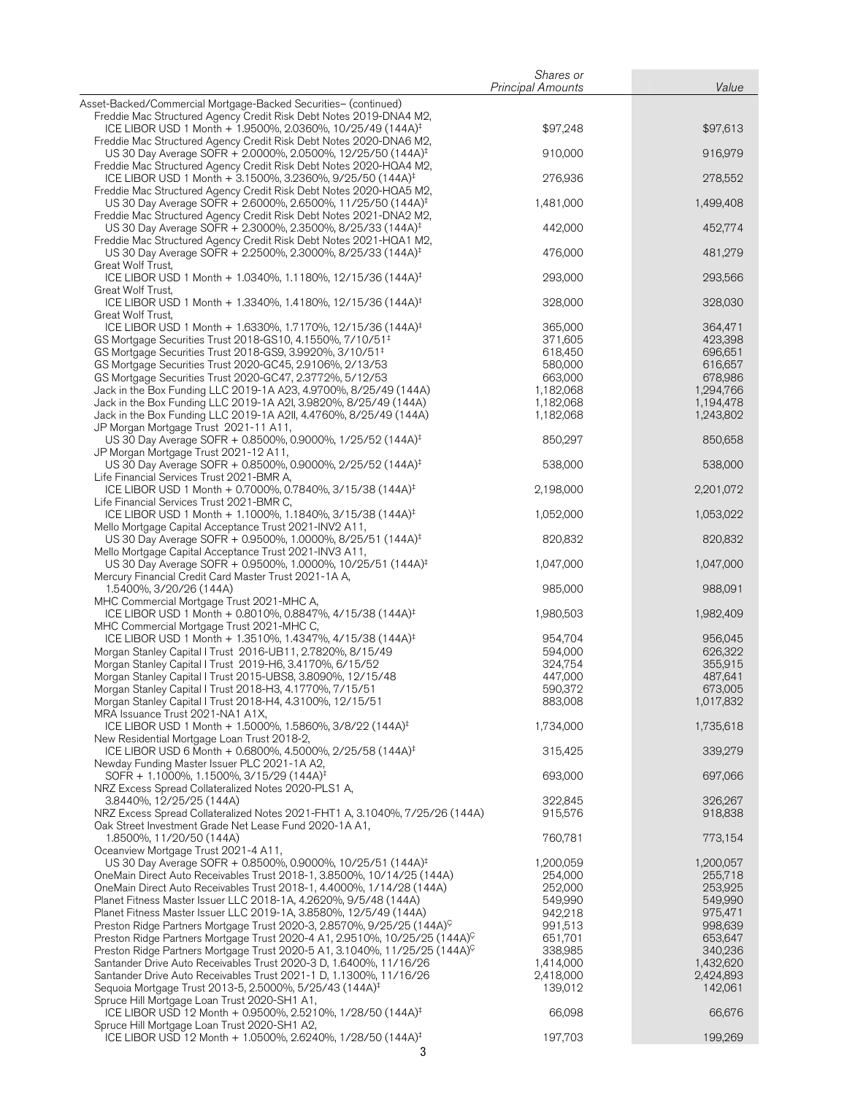|                                                                                                                                              | Shares or                |           |
|----------------------------------------------------------------------------------------------------------------------------------------------|--------------------------|-----------|
|                                                                                                                                              | <b>Principal Amounts</b> | Value     |
| Asset-Backed/Commercial Mortgage-Backed Securities- (continued)                                                                              |                          |           |
| Freddie Mac Structured Agency Credit Risk Debt Notes 2019-DNA4 M2,                                                                           |                          |           |
| ICE LIBOR USD 1 Month + 1.9500%, 2.0360%, 10/25/49 (144A) <sup>‡</sup><br>Freddie Mac Structured Agency Credit Risk Debt Notes 2020-DNA6 M2, | \$97,248                 | \$97,613  |
| US 30 Day Average SOFR + 2.0000%, 2.0500%, 12/25/50 (144A) <sup>‡</sup>                                                                      | 910,000                  | 916,979   |
| Freddie Mac Structured Agency Credit Risk Debt Notes 2020-HQA4 M2,                                                                           |                          |           |
| ICE LIBOR USD 1 Month + 3.1500%, 3.2360%, 9/25/50 (144A) <sup>‡</sup>                                                                        | 276,936                  | 278,552   |
| Freddie Mac Structured Agency Credit Risk Debt Notes 2020-HOA5 M2,                                                                           |                          |           |
| US 30 Day Average SOFR + 2.6000%, 2.6500%, 11/25/50 (144A) <sup>‡</sup>                                                                      | 1,481,000                | 1,499,408 |
| Freddie Mac Structured Agency Credit Risk Debt Notes 2021-DNA2 M2,                                                                           |                          |           |
| US 30 Day Average SOFR + 2.3000%, 2.3500%, 8/25/33 (144A) <sup>‡</sup>                                                                       | 442,000                  | 452,774   |
| Freddie Mac Structured Agency Credit Risk Debt Notes 2021-HQA1 M2,                                                                           |                          |           |
| US 30 Day Average SOFR + 2.2500%, 2.3000%, 8/25/33 (144A) <sup>‡</sup>                                                                       | 476,000                  | 481,279   |
| Great Wolf Trust,<br>ICE LIBOR USD 1 Month + 1.0340%, 1.1180%, 12/15/36 (144A) <sup>‡</sup>                                                  | 293,000                  | 293,566   |
| Great Wolf Trust,                                                                                                                            |                          |           |
| ICE LIBOR USD 1 Month + 1.3340%, 1.4180%, 12/15/36 (144A) <sup>‡</sup>                                                                       | 328,000                  | 328,030   |
| Great Wolf Trust,                                                                                                                            |                          |           |
| ICE LIBOR USD 1 Month + 1.6330%, 1.7170%, 12/15/36 (144A) <sup>‡</sup>                                                                       | 365,000                  | 364,471   |
| GS Mortgage Securities Trust 2018-GS10, 4.1550%, 7/10/51 <sup>‡</sup>                                                                        | 371,605                  | 423,398   |
| GS Mortgage Securities Trust 2018-GS9, 3.9920%, 3/10/51 <sup>‡</sup>                                                                         | 618,450                  | 696,651   |
| GS Mortgage Securities Trust 2020-GC45, 2.9106%, 2/13/53                                                                                     | 580,000                  | 616,657   |
| GS Mortgage Securities Trust 2020-GC47, 2.3772%, 5/12/53                                                                                     | 663,000                  | 678,986   |
| Jack in the Box Funding LLC 2019-1A A23, 4.9700%, 8/25/49 (144A)                                                                             | 1,182,068                | 1,294,766 |
| Jack in the Box Funding LLC 2019-1A A2I, 3.9820%, 8/25/49 (144A)                                                                             | 1,182,068                | 1,194,478 |
| Jack in the Box Funding LLC 2019-1A A2II, 4.4760%, 8/25/49 (144A)<br>JP Morgan Mortgage Trust 2021-11 A11,                                   | 1,182,068                | 1,243,802 |
| US 30 Day Average SOFR + 0.8500%, 0.9000%, 1/25/52 (144A) <sup>‡</sup>                                                                       | 850,297                  | 850,658   |
| JP Morgan Mortgage Trust 2021-12 A11,                                                                                                        |                          |           |
| US 30 Day Average SOFR + 0.8500%, 0.9000%, 2/25/52 (144A) <sup>‡</sup>                                                                       | 538,000                  | 538,000   |
| Life Financial Services Trust 2021-BMR A,                                                                                                    |                          |           |
| ICE LIBOR USD 1 Month + 0.7000%, 0.7840%, 3/15/38 (144A) <sup>‡</sup>                                                                        | 2,198,000                | 2,201,072 |
| Life Financial Services Trust 2021-BMR C,                                                                                                    |                          |           |
| ICE LIBOR USD 1 Month + 1.1000%, 1.1840%, 3/15/38 (144A) <sup>‡</sup>                                                                        | 1,052,000                | 1,053,022 |
| Mello Mortgage Capital Acceptance Trust 2021-INV2 A11,                                                                                       |                          |           |
| US 30 Day Average SOFR + 0.9500%, 1.0000%, 8/25/51 (144A) <sup>‡</sup>                                                                       | 820,832                  | 820,832   |
| Mello Mortgage Capital Acceptance Trust 2021-INV3 A11,<br>US 30 Day Average SOFR + 0.9500%, 1.0000%, 10/25/51 (144A) <sup>‡</sup>            | 1,047,000                | 1,047,000 |
| Mercury Financial Credit Card Master Trust 2021-1A A,                                                                                        |                          |           |
| 1.5400%, 3/20/26 (144A)                                                                                                                      | 985,000                  | 988,091   |
| MHC Commercial Mortgage Trust 2021-MHC A,                                                                                                    |                          |           |
| ICE LIBOR USD 1 Month + 0.8010%, 0.8847%, 4/15/38 (144A) <sup>‡</sup>                                                                        | 1,980,503                | 1,982,409 |
| MHC Commercial Mortgage Trust 2021-MHC C,                                                                                                    |                          |           |
| ICE LIBOR USD 1 Month + 1.3510%, 1.4347%, 4/15/38 (144A) <sup>‡</sup>                                                                        | 954,704                  | 956,045   |
| Morgan Stanley Capital I Trust 2016-UB11, 2.7820%, 8/15/49                                                                                   | 594,000                  | 626,322   |
| Morgan Stanley Capital I Trust 2019-H6, 3.4170%, 6/15/52                                                                                     | 324,754                  | 355,915   |
| Morgan Stanley Capital I Trust 2015-UBS8, 3.8090%, 12/15/48                                                                                  | 447,000                  | 487,641   |
| Morgan Stanley Capital I Trust 2018-H3, 4.1770%, 7/15/51                                                                                     | 590,372                  | 673,005   |
| Morgan Stanley Capital I Trust 2018-H4, 4.3100%, 12/15/51<br>MRA Issuance Trust 2021-NA1 A1X,                                                | 883,008                  | 1,017,832 |
| ICE LIBOR USD 1 Month + 1.5000%, 1.5860%, 3/8/22 (144A) <sup>‡</sup>                                                                         | 1,734,000                | 1,735,618 |
| New Residential Mortgage Loan Trust 2018-2,                                                                                                  |                          |           |
| ICE LIBOR USD 6 Month + 0.6800%, 4.5000%, 2/25/58 (144A) <sup>‡</sup>                                                                        | 315,425                  | 339,279   |
| Newday Funding Master Issuer PLC 2021-1A A2,                                                                                                 |                          |           |
| SOFR + 1.1000%, 1.1500%, 3/15/29 (144A) <sup>‡</sup>                                                                                         | 693,000                  | 697,066   |
| NRZ Excess Spread Collateralized Notes 2020-PLS1 A,                                                                                          |                          |           |
| 3.8440%, 12/25/25 (144A)                                                                                                                     | 322,845                  | 326,267   |
| NRZ Excess Spread Collateralized Notes 2021-FHT1 A, 3.1040%, 7/25/26 (144A)                                                                  | 915,576                  | 918,838   |
| Oak Street Investment Grade Net Lease Fund 2020-1A A1,                                                                                       |                          |           |
| 1.8500%, 11/20/50 (144A)<br>Oceanview Mortgage Trust 2021-4 A11,                                                                             | 760,781                  | 773,154   |
| US 30 Day Average SOFR + 0.8500%, 0.9000%, 10/25/51 (144A) <sup>‡</sup>                                                                      | 1,200,059                | 1,200,057 |
| OneMain Direct Auto Receivables Trust 2018-1, 3.8500%, 10/14/25 (144A)                                                                       | 254,000                  | 255,718   |
| OneMain Direct Auto Receivables Trust 2018-1, 4.4000%, 1/14/28 (144A)                                                                        | 252,000                  | 253,925   |
| Planet Fitness Master Issuer LLC 2018-1A, 4.2620%, 9/5/48 (144A)                                                                             | 549,990                  | 549,990   |
| Planet Fitness Master Issuer LLC 2019-1A, 3.8580%, 12/5/49 (144A)                                                                            | 942,218                  | 975,471   |
| Preston Ridge Partners Mortgage Trust 2020-3, 2.8570%, 9/25/25 (144A) <sup>C</sup>                                                           | 991,513                  | 998,639   |
| Preston Ridge Partners Mortgage Trust 2020-4 A1, 2.9510%, 10/25/25 (144A) <sup>C</sup>                                                       | 651,701                  | 653,647   |
| Preston Ridge Partners Mortgage Trust 2020-5 A1, 3.1040%, 11/25/25 (144A) <sup>C</sup>                                                       | 338,985                  | 340,236   |
| Santander Drive Auto Receivables Trust 2020-3 D, 1.6400%, 11/16/26                                                                           | 1,414,000                | 1,432,620 |
| Santander Drive Auto Receivables Trust 2021-1 D, 1.1300%, 11/16/26                                                                           | 2,418,000                | 2,424,893 |
| Sequoia Mortgage Trust 2013-5, 2.5000%, 5/25/43 (144A) <sup>‡</sup>                                                                          | 139,012                  | 142,061   |
| Spruce Hill Mortgage Loan Trust 2020-SH1 A1,                                                                                                 |                          |           |
| ICE LIBOR USD 12 Month + 0.9500%, 2.5210%, 1/28/50 (144A) <sup>‡</sup>                                                                       | 66,098                   | 66,676    |
| Spruce Hill Mortgage Loan Trust 2020-SH1 A2,<br>ICE LIBOR USD 12 Month + 1.0500%, 2.6240%, 1/28/50 (144A) <sup>‡</sup>                       | 197,703                  |           |
| 3                                                                                                                                            |                          | 199,269   |
|                                                                                                                                              |                          |           |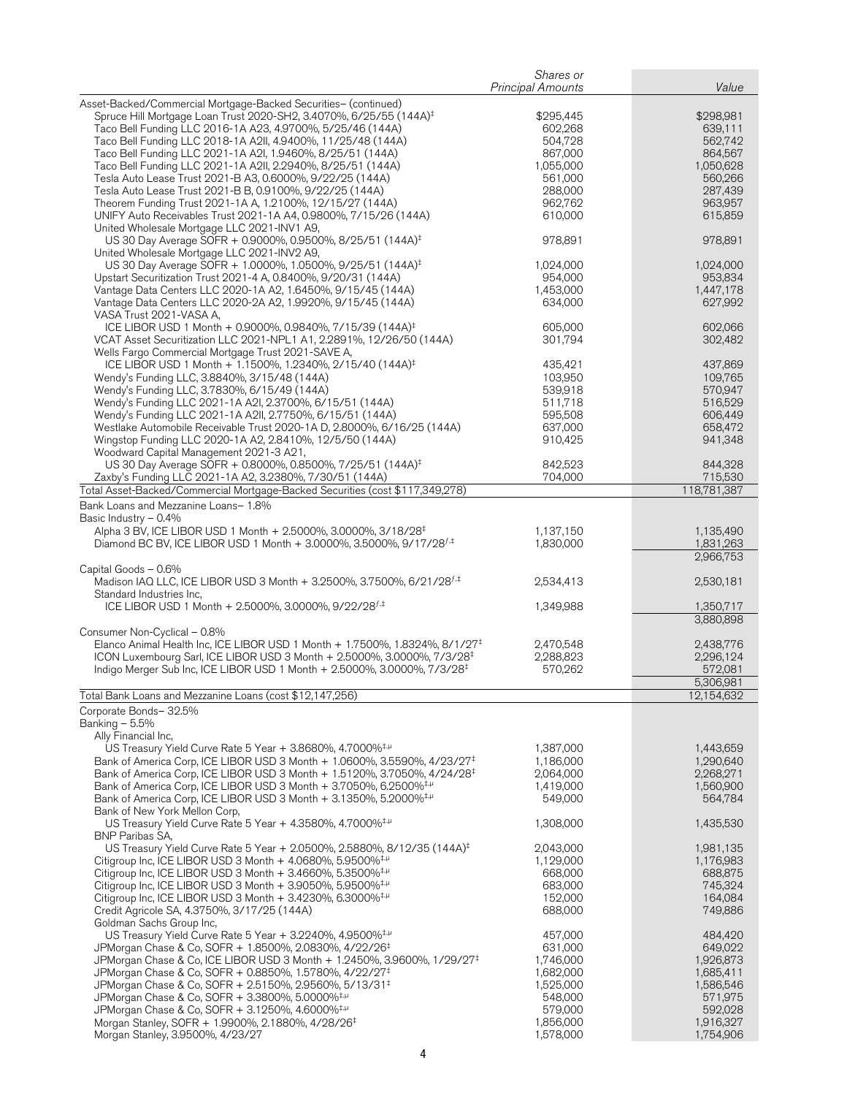|                                                                                                                                                                                    | Shares or<br><b>Principal Amounts</b> | Value                  |
|------------------------------------------------------------------------------------------------------------------------------------------------------------------------------------|---------------------------------------|------------------------|
| Asset-Backed/Commercial Mortgage-Backed Securities- (continued)                                                                                                                    |                                       |                        |
| Spruce Hill Mortgage Loan Trust 2020-SH2, 3.4070%, 6/25/55 (144A) <sup>‡</sup>                                                                                                     | \$295,445                             | \$298,981              |
| Taco Bell Funding LLC 2016-1A A23, 4.9700%, 5/25/46 (144A)                                                                                                                         | 602,268                               | 639,111                |
| Taco Bell Funding LLC 2018-1A A2II, 4.9400%, 11/25/48 (144A)                                                                                                                       | 504,728                               | 562,742                |
| Taco Bell Funding LLC 2021-1A A2I, 1.9460%, 8/25/51 (144A)                                                                                                                         | 867,000                               | 864,567                |
| Taco Bell Funding LLC 2021-1A A2II, 2.2940%, 8/25/51 (144A)                                                                                                                        | 1.055.000                             | 1,050,628              |
| Tesla Auto Lease Trust 2021-B A3, 0.6000%, 9/22/25 (144A)                                                                                                                          | 561,000                               | 560,266                |
| Tesla Auto Lease Trust 2021-B B, 0.9100%, 9/22/25 (144A)<br>Theorem Funding Trust 2021-1A A, 1.2100%, 12/15/27 (144A)                                                              | 288,000<br>962,762                    | 287,439<br>963,957     |
| UNIFY Auto Receivables Trust 2021-1A A4, 0.9800%, 7/15/26 (144A)                                                                                                                   | 610,000                               | 615,859                |
| United Wholesale Mortgage LLC 2021-INV1 A9,                                                                                                                                        |                                       |                        |
| US 30 Day Average SOFR + 0.9000%, 0.9500%, 8/25/51 (144A) <sup>‡</sup>                                                                                                             | 978,891                               | 978,891                |
| United Wholesale Mortgage LLC 2021-INV2 A9,<br>US 30 Day Average SOFR + 1.0000%, 1.0500%, 9/25/51 (144A) <sup>‡</sup>                                                              | 1,024,000                             | 1,024,000              |
| Upstart Securitization Trust 2021-4 A, 0.8400%, 9/20/31 (144A)                                                                                                                     | 954,000                               | 953,834                |
| Vantage Data Centers LLC 2020-1A A2, 1.6450%, 9/15/45 (144A)                                                                                                                       | 1,453,000                             | 1,447,178              |
| Vantage Data Centers LLC 2020-2A A2, 1.9920%, 9/15/45 (144A)                                                                                                                       | 634,000                               | 627,992                |
| VASA Trust 2021-VASA A,                                                                                                                                                            |                                       |                        |
| ICE LIBOR USD 1 Month + 0.9000%, 0.9840%, 7/15/39 (144A) <sup>‡</sup>                                                                                                              | 605,000                               | 602,066                |
| VCAT Asset Securitization LLC 2021-NPL1 A1, 2.2891%, 12/26/50 (144A)                                                                                                               | 301,794                               | 302,482                |
| Wells Fargo Commercial Mortgage Trust 2021-SAVE A,                                                                                                                                 |                                       |                        |
| ICE LIBOR USD 1 Month + 1.1500%, 1.2340%, 2/15/40 (144A) <sup>‡</sup>                                                                                                              | 435.421                               | 437,869                |
| Wendy's Funding LLC, 3.8840%, 3/15/48 (144A)<br>Wendy's Funding LLC, 3.7830%, 6/15/49 (144A)                                                                                       | 103,950<br>539,918                    | 109,765<br>570,947     |
| Wendy's Funding LLC 2021-1A A2I, 2.3700%, 6/15/51 (144A)                                                                                                                           | 511,718                               | 516,529                |
| Wendy's Funding LLC 2021-1A A2II, 2.7750%, 6/15/51 (144A)                                                                                                                          | 595,508                               | 606,449                |
| Westlake Automobile Receivable Trust 2020-1A D, 2.8000%, 6/16/25 (144A)                                                                                                            | 637,000                               | 658,472                |
| Wingstop Funding LLC 2020-1A A2, 2.8410%, 12/5/50 (144A)                                                                                                                           | 910,425                               | 941,348                |
| Woodward Capital Management 2021-3 A21,                                                                                                                                            |                                       |                        |
| US 30 Day Average SOFR + 0.8000%, 0.8500%, 7/25/51 (144A) <sup>‡</sup>                                                                                                             | 842.523                               | 844,328                |
| Zaxby's Funding LLC 2021-1A A2, 3.2380%, 7/30/51 (144A)                                                                                                                            | 704,000                               | 715,530                |
| Total Asset-Backed/Commercial Mortgage-Backed Securities (cost \$117,349,278)                                                                                                      |                                       | 118,781,387            |
| Bank Loans and Mezzanine Loans- 1.8%                                                                                                                                               |                                       |                        |
| Basic Industry $-0.4\%$                                                                                                                                                            |                                       |                        |
| Alpha 3 BV, ICE LIBOR USD 1 Month + 2.5000%, 3.0000%, 3/18/28 <sup>‡</sup>                                                                                                         | 1,137,150                             | 1,135,490<br>1,831,263 |
| Diamond BC BV, ICE LIBOR USD 1 Month + 3.0000%, 3.5000%, 9/17/28 <sup>f,‡</sup>                                                                                                    | 1,830,000                             | 2,966,753              |
| Capital Goods - 0.6%                                                                                                                                                               |                                       |                        |
| Madison IAQ LLC, ICE LIBOR USD 3 Month + 3.2500%, 3.7500%, 6/21/28 <sup>f,‡</sup>                                                                                                  | 2,534,413                             | 2,530,181              |
| Standard Industries Inc,                                                                                                                                                           |                                       |                        |
| ICE LIBOR USD 1 Month + 2.5000%, 3.0000%, 9/22/28 $^{f, \ddag}$                                                                                                                    | 1,349,988                             | 1,350,717              |
|                                                                                                                                                                                    |                                       | 3,880,898              |
| Consumer Non-Cyclical - 0.8%<br>Elanco Animal Health Inc, ICE LIBOR USD 1 Month + 1.7500%, 1.8324%, 8/1/27 <sup>‡</sup>                                                            | 2,470,548                             | 2,438,776              |
| ICON Luxembourg Sarl, ICE LIBOR USD 3 Month + 2.5000%, 3.0000%, 7/3/28 <sup>‡</sup>                                                                                                | 2,288,823                             | 2,296,124              |
| Indigo Merger Sub Inc, ICE LIBOR USD 1 Month + 2.5000%, 3.0000%, 7/3/28 <sup>‡</sup>                                                                                               | 570,262                               | 572,081                |
|                                                                                                                                                                                    |                                       | 5,306,981              |
| Total Bank Loans and Mezzanine Loans (cost \$12,147,256)                                                                                                                           |                                       | 12,154,632             |
| Corporate Bonds-32.5%                                                                                                                                                              |                                       |                        |
| Banking $-5.5%$                                                                                                                                                                    |                                       |                        |
| Ally Financial Inc,                                                                                                                                                                |                                       |                        |
| US Treasury Yield Curve Rate 5 Year + 3.8680%, 4.7000% <sup>‡,µ</sup>                                                                                                              | 1,387,000                             | 1,443,659              |
| Bank of America Corp, ICE LIBOR USD 3 Month + 1.0600%, 3.5590%, 4/23/27 <sup>‡</sup>                                                                                               | 1,186,000                             | 1,290,640              |
| Bank of America Corp, ICE LIBOR USD 3 Month + 1.5120%, 3.7050%, 4/24/28 <sup>‡</sup><br>Bank of America Corp, ICE LIBOR USD 3 Month + 3.7050%, 6.2500% <sup>‡, µ</sup>             | 2,064,000<br>1,419,000                | 2,268,271<br>1,560,900 |
| Bank of America Corp, ICE LIBOR USD 3 Month + 3.1350%, 5.2000% <sup>‡,µ</sup>                                                                                                      | 549,000                               | 564,784                |
| Bank of New York Mellon Corp,                                                                                                                                                      |                                       |                        |
| US Treasury Yield Curve Rate 5 Year + 4.3580%, 4.7000% <sup>‡,<math>\mu</math></sup>                                                                                               | 1,308,000                             | 1,435,530              |
| <b>BNP Paribas SA,</b>                                                                                                                                                             |                                       |                        |
| US Treasury Yield Curve Rate 5 Year + 2.0500%, 2.5880%, 8/12/35 (144A) <sup>‡</sup>                                                                                                | 2,043,000                             | 1,981,135              |
| Citigroup Inc, ICE LIBOR USD 3 Month $+$ 4.0680%, 5.9500% <sup>‡, <math>\mu</math></sup>                                                                                           | 1,129,000                             | 1,176,983              |
| Citigroup Inc, ICE LIBOR USD 3 Month $+$ 3.4660%, 5.3500% <sup>‡,<math>\mu</math></sup>                                                                                            | 668,000                               | 688,875<br>745,324     |
| Citigroup Inc, ICE LIBOR USD 3 Month $+$ 3.9050%, 5.9500% <sup>‡,<math>\mu</math></sup><br>Citigroup Inc, ICE LIBOR USD 3 Month $+$ 3.4230%, 6.3000% <sup>‡,<math>\mu</math></sup> | 683,000<br>152,000                    | 164,084                |
| Credit Agricole SA, 4.3750%, 3/17/25 (144A)                                                                                                                                        | 688,000                               | 749,886                |
| Goldman Sachs Group Inc,                                                                                                                                                           |                                       |                        |
| US Treasury Yield Curve Rate 5 Year + 3.2240%, 4.9500% <sup>‡,<math>\mu</math></sup>                                                                                               | 457,000                               | 484,420                |
| JPMorgan Chase & Co, SOFR + 1.8500%, 2.0830%, 4/22/26 <sup>‡</sup>                                                                                                                 | 631,000                               | 649,022                |
| JPMorgan Chase & Co, ICE LIBOR USD 3 Month + 1.2450%, 3.9600%, 1/29/27 <sup>‡</sup>                                                                                                | 1,746,000                             | 1,926,873              |
| JPMorgan Chase & Co, SOFR + 0.8850%, 1.5780%, 4/22/27 <sup>‡</sup>                                                                                                                 | 1,682,000                             | 1,685,411              |
| JPMorgan Chase & Co, SOFR + 2.5150%, 2.9560%, 5/13/31 <sup>‡</sup>                                                                                                                 | 1,525,000                             | 1,586,546              |
| JPMorgan Chase & Co, SOFR + 3.3800%, 5.0000% <sup>‡,µ</sup>                                                                                                                        | 548,000                               | 571,975                |
| JPMorgan Chase & Co, SOFR + 3.1250%, 4.6000% <sup>‡,µ</sup><br>Morgan Stanley, SOFR + 1.9900%, 2.1880%, 4/28/26 <sup>‡</sup>                                                       | 579,000<br>1,856,000                  | 592,028<br>1,916,327   |
| Morgan Stanley, 3.9500%, 4/23/27                                                                                                                                                   | 1,578,000                             | 1,754,906              |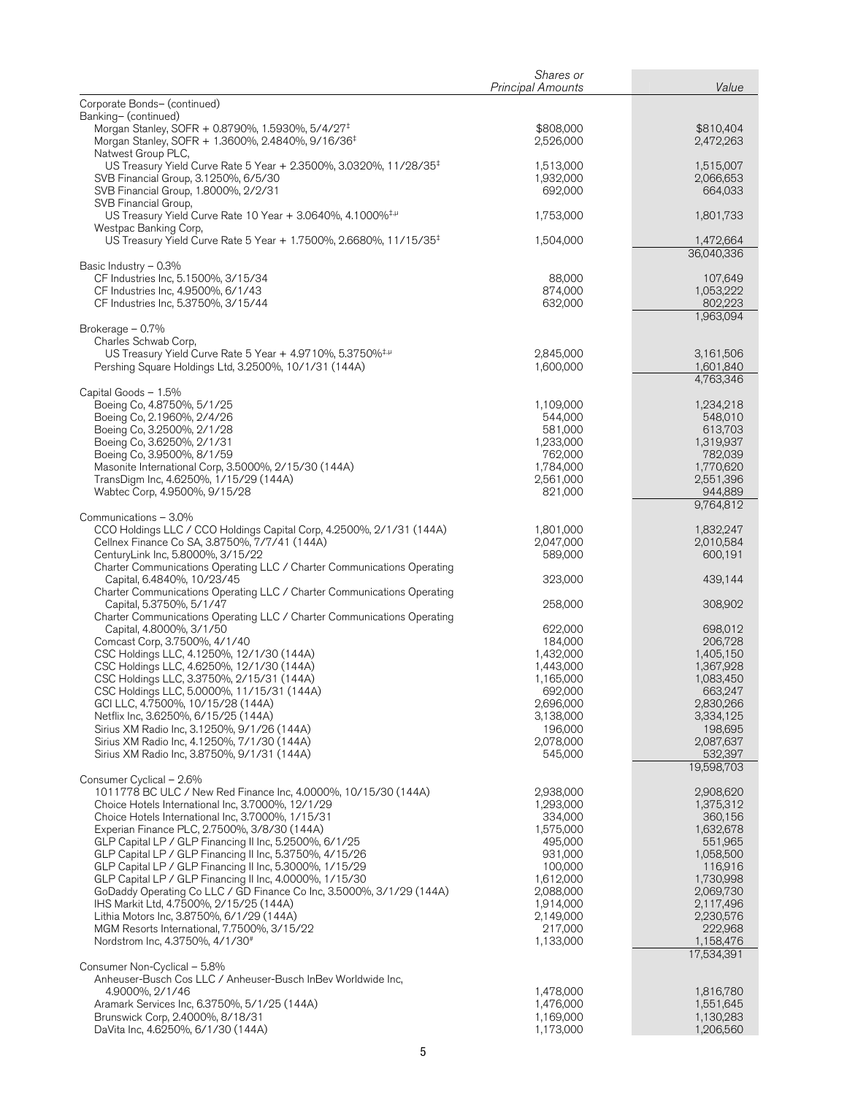|                                                                                                                                             | Shares or                |                         |
|---------------------------------------------------------------------------------------------------------------------------------------------|--------------------------|-------------------------|
|                                                                                                                                             | <b>Principal Amounts</b> | Value                   |
| Corporate Bonds- (continued)<br>Banking- (continued)                                                                                        |                          |                         |
| Morgan Stanley, SOFR + 0.8790%, 1.5930%, 5/4/27 <sup>‡</sup><br>Morgan Stanley, SOFR + 1.3600%, 2.4840%, 9/16/36 <sup>‡</sup>               | \$808,000<br>2,526,000   | \$810,404<br>2,472,263  |
| Natwest Group PLC,<br>US Treasury Yield Curve Rate 5 Year + 2.3500%, 3.0320%, 11/28/35 <sup>‡</sup><br>SVB Financial Group, 3.1250%, 6/5/30 | 1,513,000<br>1,932,000   | 1,515,007<br>2,066,653  |
| SVB Financial Group, 1.8000%, 2/2/31<br>SVB Financial Group,                                                                                | 692,000                  | 664,033                 |
| US Treasury Yield Curve Rate 10 Year + 3.0640%, 4.1000% <sup>‡,µ</sup><br>Westpac Banking Corp,                                             | 1,753,000                | 1,801,733               |
| US Treasury Yield Curve Rate 5 Year + 1.7500%, 2.6680%, 11/15/35 <sup>‡</sup>                                                               | 1,504,000                | 1,472,664<br>36,040,336 |
| Basic Industry - 0.3%                                                                                                                       |                          |                         |
| CF Industries Inc, 5.1500%, 3/15/34<br>CF Industries Inc, 4.9500%, 6/1/43                                                                   | 88,000<br>874,000        | 107,649<br>1,053,222    |
| CF Industries Inc, 5.3750%, 3/15/44                                                                                                         | 632,000                  | 802,223<br>1,963,094    |
| Brokerage - 0.7%<br>Charles Schwab Corp,                                                                                                    |                          |                         |
| US Treasury Yield Curve Rate 5 Year + 4.9710%, 5.3750% <sup>‡,µ</sup>                                                                       | 2,845,000                | 3,161,506               |
| Pershing Square Holdings Ltd, 3.2500%, 10/1/31 (144A)                                                                                       | 1,600,000                | 1,601,840<br>4,763,346  |
| Capital Goods - 1.5%<br>Boeing Co, 4.8750%, 5/1/25                                                                                          | 1,109,000                | 1,234,218               |
| Boeing Co, 2.1960%, 2/4/26                                                                                                                  | 544,000                  | 548,010                 |
| Boeing Co, 3.2500%, 2/1/28                                                                                                                  | 581,000                  | 613,703                 |
| Boeing Co, 3.6250%, 2/1/31                                                                                                                  | 1,233,000<br>762,000     | 1,319,937<br>782,039    |
| Boeing Co, 3.9500%, 8/1/59<br>Masonite International Corp, 3.5000%, 2/15/30 (144A)                                                          | 1,784,000                | 1,770,620               |
| TransDigm Inc, 4.6250%, 1/15/29 (144A)                                                                                                      | 2,561,000                | 2,551,396               |
| Wabtec Corp, 4.9500%, 9/15/28                                                                                                               | 821,000                  | 944,889<br>9,764,812    |
| Communications - 3.0%                                                                                                                       |                          |                         |
| CCO Holdings LLC / CCO Holdings Capital Corp, 4.2500%, 2/1/31 (144A)                                                                        | 1,801,000                | 1,832,247               |
| Cellnex Finance Co SA, 3.8750%, 7/7/41 (144A)                                                                                               | 2,047,000                | 2,010,584               |
| CenturyLink Inc, 5.8000%, 3/15/22<br>Charter Communications Operating LLC / Charter Communications Operating                                | 589,000                  | 600,191                 |
| Capital, 6.4840%, 10/23/45                                                                                                                  | 323,000                  | 439,144                 |
| Charter Communications Operating LLC / Charter Communications Operating<br>Capital, 5.3750%, 5/1/47                                         |                          | 308,902                 |
| Charter Communications Operating LLC / Charter Communications Operating                                                                     | 258,000                  |                         |
| Capital, 4.8000%, 3/1/50                                                                                                                    | 622,000                  | 698,012                 |
| Comcast Corp, 3.7500%, 4/1/40                                                                                                               | 184,000                  | 206,728                 |
| CSC Holdings LLC, 4.1250%, 12/1/30 (144A)<br>CSC Holdings LLC, 4.6250%, 12/1/30 (144A)                                                      | 1,432,000<br>1,443,000   | 1,405,150<br>1,367,928  |
| CSC Holdings LLC, 3.3750%, 2/15/31 (144A)                                                                                                   | 1,165,000                | 1,083,450               |
| CSC Holdings LLC, 5.0000%, 11/15/31 (144A)                                                                                                  | 692,000                  | 663,247                 |
| GCI LLC, 4.7500%, 10/15/28 (144A)                                                                                                           | 2,696,000                | 2,830,266               |
| Netflix Inc, 3.6250%, 6/15/25 (144A)<br>Sirius XM Radio Inc, 3.1250%, 9/1/26 (144A)                                                         | 3,138,000                | 3,334,125               |
| Sirius XM Radio Inc, 4.1250%, 7/1/30 (144A)                                                                                                 | 196,000<br>2,078,000     | 198,695<br>2,087,637    |
| Sirius XM Radio Inc, 3.8750%, 9/1/31 (144A)                                                                                                 | 545,000                  | 532,397                 |
| Consumer Cyclical - 2.6%                                                                                                                    |                          | 19,598,703              |
| 1011778 BC ULC / New Red Finance Inc, 4.0000%, 10/15/30 (144A)                                                                              | 2,938,000                | 2,908,620               |
| Choice Hotels International Inc, 3.7000%, 12/1/29                                                                                           | 1,293,000                | 1,375,312               |
| Choice Hotels International Inc, 3.7000%, 1/15/31                                                                                           | 334,000                  | 360,156                 |
| Experian Finance PLC, 2.7500%, 3/8/30 (144A)<br>GLP Capital LP / GLP Financing II Inc, 5.2500%, 6/1/25                                      | 1,575,000<br>495,000     | 1,632,678<br>551,965    |
| GLP Capital LP / GLP Financing II Inc, 5.3750%, 4/15/26                                                                                     | 931,000                  | 1,058,500               |
| GLP Capital LP / GLP Financing II Inc, 5.3000%, 1/15/29                                                                                     | 100,000                  | 116,916                 |
| GLP Capital LP / GLP Financing II Inc, 4.0000%, 1/15/30                                                                                     | 1,612,000                | 1,730,998               |
| GoDaddy Operating Co LLC / GD Finance Co Inc, 3.5000%, 3/1/29 (144A)                                                                        | 2,088,000                | 2,069,730               |
| IHS Markit Ltd, 4.7500%, 2/15/25 (144A)<br>Lithia Motors Inc, 3.8750%, 6/1/29 (144A)                                                        | 1,914,000<br>2,149,000   | 2,117,496<br>2,230,576  |
| MGM Resorts International, 7.7500%, 3/15/22                                                                                                 | 217,000                  | 222,968                 |
| Nordstrom Inc, 4.3750%, 4/1/30 <sup>#</sup>                                                                                                 | 1,133,000                | 1,158,476               |
| Consumer Non-Cyclical - 5.8%                                                                                                                |                          | 17,534,391              |
| Anheuser-Busch Cos LLC / Anheuser-Busch InBev Worldwide Inc,                                                                                |                          |                         |
| 4.9000%, 2/1/46                                                                                                                             | 1,478,000                | 1,816,780               |
| Aramark Services Inc, 6.3750%, 5/1/25 (144A)<br>Brunswick Corp, 2.4000%, 8/18/31                                                            | 1,476,000<br>1,169,000   | 1,551,645<br>1,130,283  |
| DaVita Inc, 4.6250%, 6/1/30 (144A)                                                                                                          | 1,173,000                | 1,206,560               |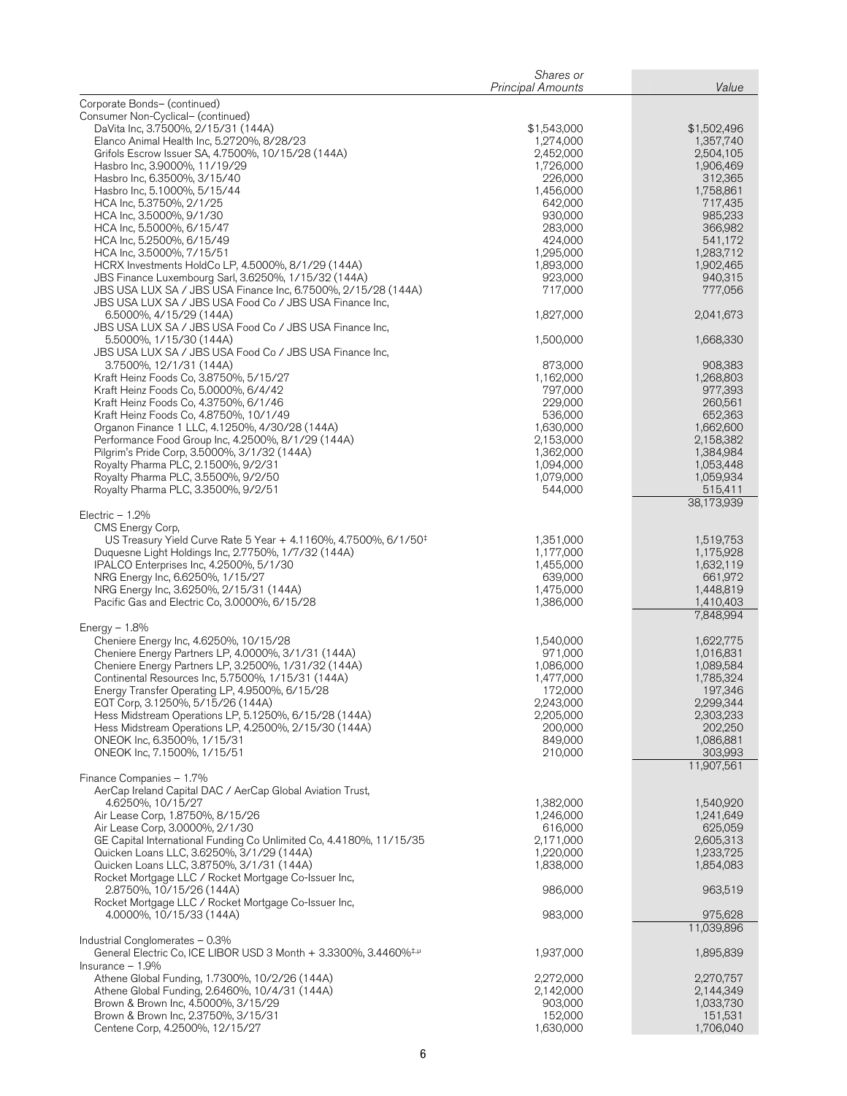|                                                                                                                       | Shares or                |                        |
|-----------------------------------------------------------------------------------------------------------------------|--------------------------|------------------------|
| Corporate Bonds- (continued)                                                                                          | <b>Principal Amounts</b> | Value                  |
| Consumer Non-Cyclical- (continued)                                                                                    |                          |                        |
| DaVita Inc, 3.7500%, 2/15/31 (144A)                                                                                   | \$1,543,000              | \$1,502,496            |
| Elanco Animal Health Inc, 5.2720%, 8/28/23                                                                            | 1,274,000<br>2,452,000   | 1,357,740<br>2,504,105 |
| Grifols Escrow Issuer SA, 4.7500%, 10/15/28 (144A)<br>Hasbro Inc, 3.9000%, 11/19/29                                   | 1,726,000                | 1,906,469              |
| Hasbro Inc, 6.3500%, 3/15/40                                                                                          | 226,000                  | 312,365                |
| Hasbro Inc, 5.1000%, 5/15/44                                                                                          | 1,456,000                | 1,758,861              |
| HCA Inc, 5.3750%, 2/1/25                                                                                              | 642,000                  | 717,435                |
| HCA Inc, 3.5000%, 9/1/30<br>HCA Inc, 5.5000%, 6/15/47                                                                 | 930,000<br>283,000       | 985,233<br>366,982     |
| HCA Inc, 5.2500%, 6/15/49                                                                                             | 424,000                  | 541,172                |
| HCA Inc, 3.5000%, 7/15/51                                                                                             | 1,295,000                | 1,283,712              |
| HCRX Investments HoldCo LP, 4.5000%, 8/1/29 (144A)                                                                    | 1,893,000<br>923,000     | 1,902,465<br>940,315   |
| JBS Finance Luxembourg Sarl, 3.6250%, 1/15/32 (144A)<br>JBS USA LUX SA / JBS USA Finance Inc, 6.7500%, 2/15/28 (144A) | 717,000                  | 777,056                |
| JBS USA LUX SA / JBS USA Food Co / JBS USA Finance Inc,                                                               |                          |                        |
| 6.5000%, 4/15/29 (144A)                                                                                               | 1,827,000                | 2,041,673              |
| JBS USA LUX SA / JBS USA Food Co / JBS USA Finance Inc,<br>5.5000%, 1/15/30 (144A)                                    | 1,500,000                | 1,668,330              |
| JBS USA LUX SA / JBS USA Food Co / JBS USA Finance Inc,                                                               |                          |                        |
| 3.7500%, 12/1/31 (144A)                                                                                               | 873,000                  | 908,383                |
| Kraft Heinz Foods Co, 3.8750%, 5/15/27                                                                                | 1,162,000                | 1,268,803              |
| Kraft Heinz Foods Co, 5.0000%, 6/4/42<br>Kraft Heinz Foods Co, 4.3750%, 6/1/46                                        | 797,000<br>229,000       | 977,393<br>260,561     |
| Kraft Heinz Foods Co, 4.8750%, 10/1/49                                                                                | 536,000                  | 652,363                |
| Organon Finance 1 LLC, 4.1250%, 4/30/28 (144A)                                                                        | 1,630,000                | 1,662,600              |
| Performance Food Group Inc, 4.2500%, 8/1/29 (144A)                                                                    | 2,153,000                | 2,158,382              |
| Pilgrim's Pride Corp, 3.5000%, 3/1/32 (144A)<br>Royalty Pharma PLC, 2.1500%, 9/2/31                                   | 1,362,000<br>1,094,000   | 1,384,984<br>1,053,448 |
| Royalty Pharma PLC, 3.5500%, 9/2/50                                                                                   | 1,079,000                | 1,059,934              |
| Royalty Pharma PLC, 3.3500%, 9/2/51                                                                                   | 544,000                  | 515,411                |
| Electric $-1.2%$                                                                                                      |                          | 38,173,939             |
| CMS Energy Corp,                                                                                                      |                          |                        |
| US Treasury Yield Curve Rate 5 Year + 4.1160%, 4.7500%, 6/1/50 <sup>‡</sup>                                           | 1,351,000                | 1,519,753              |
| Duquesne Light Holdings Inc, 2.7750%, 1/7/32 (144A)                                                                   | 1,177,000                | 1,175,928              |
| IPALCO Enterprises Inc, 4.2500%, 5/1/30<br>NRG Energy Inc, 6.6250%, 1/15/27                                           | 1,455,000<br>639,000     | 1,632,119<br>661,972   |
| NRG Energy Inc, 3.6250%, 2/15/31 (144A)                                                                               | 1,475,000                | 1,448,819              |
| Pacific Gas and Electric Co, 3.0000%, 6/15/28                                                                         | 1,386,000                | 1,410,403              |
| Energy $-1.8%$                                                                                                        |                          | 7,848,994              |
| Cheniere Energy Inc, 4.6250%, 10/15/28                                                                                | 1,540,000                | 1,622,775              |
| Cheniere Energy Partners LP, 4.0000%, 3/1/31 (144A)                                                                   | 971,000                  | 1,016,831              |
| Cheniere Energy Partners LP, 3.2500%, 1/31/32 (144A)                                                                  | 1,086,000                | 1,089,584              |
| Continental Resources Inc, 5.7500%, 1/15/31 (144A)                                                                    | 1,477,000<br>172,000     | 1,785,324<br>197,346   |
| Energy Transfer Operating LP, 4.9500%, 6/15/28<br>EQT Corp, 3.1250%, 5/15/26 (144A)                                   | 2,243,000                | 2,299,344              |
| Hess Midstream Operations LP, 5.1250%, 6/15/28 (144A)                                                                 | 2,205,000                | 2,303,233              |
| Hess Midstream Operations LP, 4.2500%, 2/15/30 (144A)                                                                 | 200,000                  | 202,250                |
| ONEOK Inc, 6.3500%, 1/15/31<br>ONEOK Inc, 7.1500%, 1/15/51                                                            | 849,000<br>210,000       | 1,086,881<br>303,993   |
|                                                                                                                       |                          | 11,907,561             |
| Finance Companies - 1.7%                                                                                              |                          |                        |
| AerCap Ireland Capital DAC / AerCap Global Aviation Trust,                                                            |                          |                        |
| 4.6250%, 10/15/27<br>Air Lease Corp, 1.8750%, 8/15/26                                                                 | 1,382,000<br>1,246,000   | 1,540,920<br>1,241,649 |
| Air Lease Corp, 3.0000%, 2/1/30                                                                                       | 616,000                  | 625,059                |
| GE Capital International Funding Co Unlimited Co, 4.4180%, 11/15/35                                                   | 2,171,000                | 2,605,313              |
| Quicken Loans LLC, 3.6250%, 3/1/29 (144A)<br>Quicken Loans LLC, 3.8750%, 3/1/31 (144A)                                | 1,220,000<br>1,838,000   | 1,233,725<br>1,854,083 |
| Rocket Mortgage LLC / Rocket Mortgage Co-Issuer Inc,                                                                  |                          |                        |
| 2.8750%, 10/15/26 (144A)                                                                                              | 986,000                  | 963,519                |
| Rocket Mortgage LLC / Rocket Mortgage Co-Issuer Inc,                                                                  |                          |                        |
| 4.0000%, 10/15/33 (144A)                                                                                              | 983,000                  | 975,628<br>11,039,896  |
| Industrial Conglomerates - 0.3%                                                                                       |                          |                        |
| General Electric Co, ICE LIBOR USD 3 Month + 3.3300%, 3.4460% <sup>‡,µ</sup>                                          | 1,937,000                | 1,895,839              |
| Insurance $-1.9%$<br>Athene Global Funding, 1.7300%, 10/2/26 (144A)                                                   | 2,272,000                | 2,270,757              |
| Athene Global Funding, 2.6460%, 10/4/31 (144A)                                                                        | 2,142,000                | 2,144,349              |
| Brown & Brown Inc, 4.5000%, 3/15/29                                                                                   | 903,000                  | 1,033,730              |
| Brown & Brown Inc, 2.3750%, 3/15/31<br>Centene Corp, 4.2500%, 12/15/27                                                | 152,000<br>1,630,000     | 151,531<br>1,706,040   |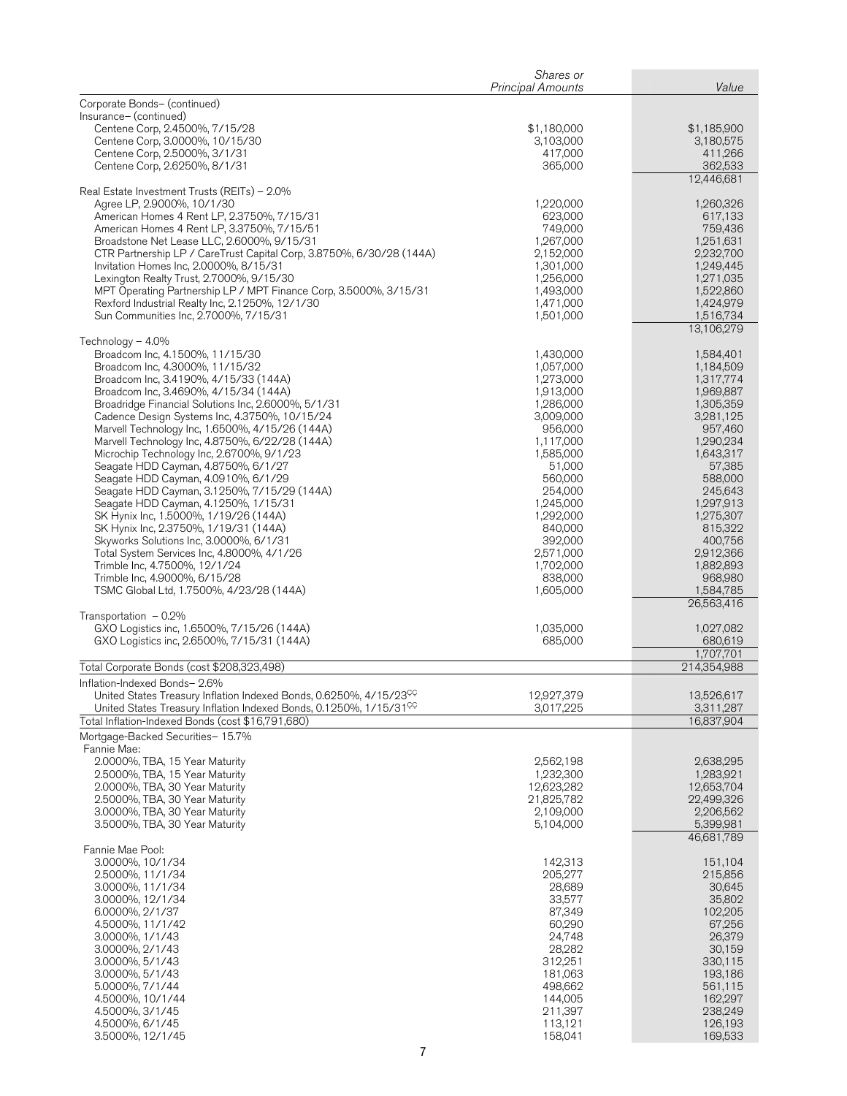|                                                                                                                                     | Shares or<br><b>Principal Amounts</b> | Value                    |
|-------------------------------------------------------------------------------------------------------------------------------------|---------------------------------------|--------------------------|
| Corporate Bonds- (continued)                                                                                                        |                                       |                          |
| Insurance- (continued)                                                                                                              |                                       |                          |
| Centene Corp, 2.4500%, 7/15/28                                                                                                      | \$1,180,000                           | \$1,185,900              |
| Centene Corp, 3.0000%, 10/15/30<br>Centene Corp, 2.5000%, 3/1/31                                                                    | 3,103,000<br>417,000                  | 3,180,575<br>411,266     |
| Centene Corp, 2.6250%, 8/1/31                                                                                                       | 365,000                               | 362,533                  |
|                                                                                                                                     |                                       | 12,446,681               |
| Real Estate Investment Trusts (REITs) – 2.0%                                                                                        |                                       |                          |
| Agree LP, 2.9000%, 10/1/30<br>American Homes 4 Rent LP, 2.3750%, 7/15/31                                                            | 1,220,000<br>623,000                  | 1,260,326<br>617,133     |
| American Homes 4 Rent LP, 3.3750%, 7/15/51                                                                                          | 749,000                               | 759,436                  |
| Broadstone Net Lease LLC, 2.6000%, 9/15/31                                                                                          | 1,267,000                             | 1,251,631                |
| CTR Partnership LP / CareTrust Capital Corp, 3.8750%, 6/30/28 (144A)                                                                | 2,152,000                             | 2,232,700                |
| Invitation Homes Inc, 2.0000%, 8/15/31<br>Lexington Realty Trust, 2.7000%, 9/15/30                                                  | 1,301,000<br>1,256,000                | 1,249,445<br>1,271,035   |
| MPT Operating Partnership LP / MPT Finance Corp, 3.5000%, 3/15/31                                                                   | 1,493,000                             | 1,522,860                |
| Rexford Industrial Realty Inc, 2.1250%, 12/1/30                                                                                     | 1,471,000                             | 1,424,979                |
| Sun Communities Inc, 2.7000%, 7/15/31                                                                                               | 1,501,000                             | 1,516,734<br>13,106,279  |
| Technology - 4.0%                                                                                                                   |                                       |                          |
| Broadcom Inc, 4.1500%, 11/15/30                                                                                                     | 1,430,000                             | 1,584,401                |
| Broadcom Inc, 4.3000%, 11/15/32                                                                                                     | 1,057,000<br>1,273,000                | 1,184,509                |
| Broadcom Inc, 3.4190%, 4/15/33 (144A)<br>Broadcom Inc, 3.4690%, 4/15/34 (144A)                                                      | 1,913,000                             | 1,317,774<br>1,969,887   |
| Broadridge Financial Solutions Inc, 2.6000%, 5/1/31                                                                                 | 1,286,000                             | 1,305,359                |
| Cadence Design Systems Inc, 4.3750%, 10/15/24                                                                                       | 3,009,000                             | 3,281,125                |
| Marvell Technology Inc, 1.6500%, 4/15/26 (144A)<br>Marvell Technology Inc, 4.8750%, 6/22/28 (144A)                                  | 956,000<br>1,117,000                  | 957,460<br>1,290,234     |
| Microchip Technology Inc, 2.6700%, 9/1/23                                                                                           | 1,585,000                             | 1,643,317                |
| Seagate HDD Cayman, 4.8750%, 6/1/27                                                                                                 | 51,000                                | 57,385                   |
| Seagate HDD Cayman, 4.0910%, 6/1/29                                                                                                 | 560,000                               | 588,000                  |
| Seagate HDD Cayman, 3.1250%, 7/15/29 (144A)<br>Seagate HDD Cayman, 4.1250%, 1/15/31                                                 | 254,000<br>1,245,000                  | 245,643<br>1,297,913     |
| SK Hynix Inc, 1.5000%, 1/19/26 (144A)                                                                                               | 1,292,000                             | 1,275,307                |
| SK Hynix Inc, 2.3750%, 1/19/31 (144A)                                                                                               | 840,000                               | 815,322                  |
| Skyworks Solutions Inc, 3.0000%, 6/1/31                                                                                             | 392,000<br>2,571,000                  | 400,756                  |
| Total System Services Inc, 4.8000%, 4/1/26<br>Trimble Inc, 4.7500%, 12/1/24                                                         | 1,702,000                             | 2,912,366<br>1,882,893   |
| Trimble Inc, 4.9000%, 6/15/28                                                                                                       | 838,000                               | 968,980                  |
| TSMC Global Ltd, 1.7500%, 4/23/28 (144A)                                                                                            | 1,605,000                             | 1,584,785                |
| Transportation $-0.2\%$                                                                                                             |                                       | 26,563,416               |
| GXO Logistics inc, 1.6500%, 7/15/26 (144A)                                                                                          | 1,035,000                             | 1,027,082                |
| GXO Logistics inc, 2.6500%, 7/15/31 (144A)                                                                                          | 685,000                               | 680,619                  |
| Total Corporate Bonds (cost \$208,323,498)                                                                                          |                                       | 1,707,701<br>214,354,988 |
| Inflation-Indexed Bonds- 2.6%                                                                                                       |                                       |                          |
| United States Treasury Inflation Indexed Bonds, 0.6250%, 4/15/23 <sup>CC</sup>                                                      | 12,927,379                            | 13,526,617               |
| United States Treasury Inflation Indexed Bonds, 0.1250%, 1/15/31 <sup>CC</sup><br>Total Inflation-Indexed Bonds (cost \$16,791,680) | 3,017,225                             | 3,311,287<br>16,837,904  |
| Mortgage-Backed Securities- 15.7%                                                                                                   |                                       |                          |
| Fannie Mae:                                                                                                                         |                                       |                          |
| 2.0000%, TBA, 15 Year Maturity                                                                                                      | 2,562,198                             | 2,638,295                |
| 2.5000%, TBA, 15 Year Maturity<br>2.0000%, TBA, 30 Year Maturity                                                                    | 1,232,300<br>12,623,282               | 1,283,921<br>12,653,704  |
| 2.5000%, TBA, 30 Year Maturity                                                                                                      | 21,825,782                            | 22,499,326               |
| 3.0000%, TBA, 30 Year Maturity                                                                                                      | 2,109,000                             | 2,206,562                |
| 3.5000%, TBA, 30 Year Maturity                                                                                                      | 5,104,000                             | 5,399,981<br>46,681,789  |
| Fannie Mae Pool:                                                                                                                    |                                       |                          |
| 3.0000%, 10/1/34                                                                                                                    | 142,313                               | 151,104                  |
| 2.5000%, 11/1/34                                                                                                                    | 205,277                               | 215,856                  |
| 3.0000%, 11/1/34<br>3.0000%, 12/1/34                                                                                                | 28,689<br>33,577                      | 30,645<br>35,802         |
| 6.0000%, 2/1/37                                                                                                                     | 87,349                                | 102,205                  |
| 4.5000%, 11/1/42                                                                                                                    | 60,290                                | 67,256                   |
| 3.0000%, 1/1/43<br>3.0000%, 2/1/43                                                                                                  | 24,748<br>28,282                      | 26,379<br>30,159         |
| 3.0000%, 5/1/43                                                                                                                     | 312,251                               | 330,115                  |
| 3.0000%, 5/1/43                                                                                                                     | 181,063                               | 193,186                  |
| 5.0000%, 7/1/44                                                                                                                     | 498,662                               | 561,115                  |
| 4.5000%, 10/1/44<br>4.5000%, 3/1/45                                                                                                 | 144,005<br>211,397                    | 162,297<br>238,249       |
| 4.5000%, 6/1/45                                                                                                                     | 113,121                               | 126,193                  |
| 3.5000%, 12/1/45                                                                                                                    | 158,041                               | 169,533                  |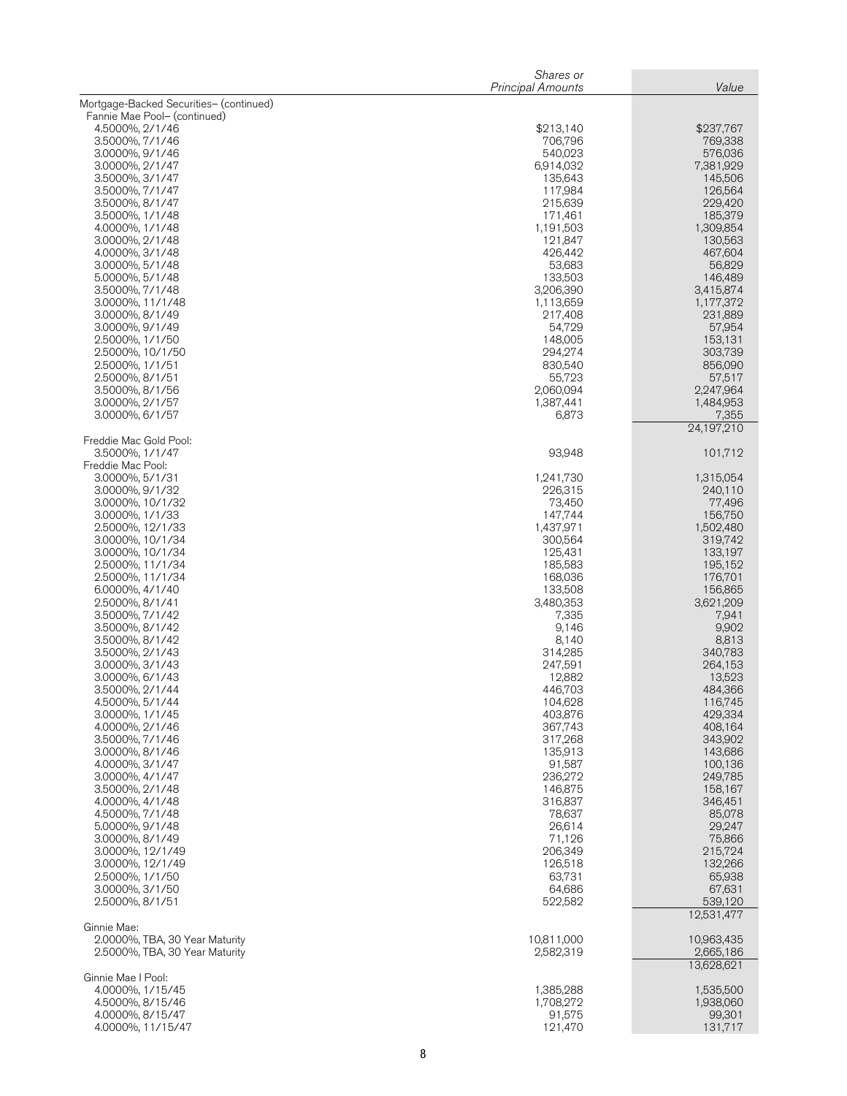|                                           | Shares or<br><b>Principal Amounts</b> | Value                   |
|-------------------------------------------|---------------------------------------|-------------------------|
| Mortgage-Backed Securities- (continued)   |                                       |                         |
| Fannie Mae Pool- (continued)              |                                       |                         |
| 4.5000%, 2/1/46<br>3.5000%, 7/1/46        | \$213,140<br>706,796                  | \$237,767<br>769,338    |
| 3.0000%, 9/1/46                           | 540,023                               | 576,036                 |
| 3.0000%, 2/1/47                           | 6,914,032                             | 7,381,929               |
| 3.5000%, 3/1/47<br>3.5000%, 7/1/47        | 135,643<br>117,984                    | 145,506<br>126,564      |
| 3.5000%, 8/1/47                           | 215,639                               | 229,420                 |
| 3.5000%, 1/1/48                           | 171,461                               | 185,379                 |
| 4.0000%, 1/1/48                           | 1,191,503                             | 1,309,854               |
| 3.0000%, 2/1/48<br>4.0000%, 3/1/48        | 121,847<br>426,442                    | 130,563<br>467,604      |
| 3.0000%, 5/1/48                           | 53,683                                | 56,829                  |
| 5.0000%, 5/1/48                           | 133,503                               | 146,489                 |
| 3.5000%, 7/1/48<br>3.0000%, 11/1/48       | 3,206,390<br>1,113,659                | 3,415,874<br>1,177,372  |
| 3.0000%, 8/1/49                           | 217,408                               | 231,889                 |
| 3.0000%, 9/1/49                           | 54,729                                | 57,954                  |
| 2.5000%, 1/1/50                           | 148,005                               | 153,131                 |
| 2.5000%, 10/1/50<br>2.5000%, 1/1/51       | 294,274<br>830,540                    | 303,739<br>856,090      |
| 2.5000%, 8/1/51                           | 55,723                                | 57,517                  |
| 3.5000%, 8/1/56                           | 2,060,094                             | 2,247,964               |
| 3.0000%, 2/1/57<br>3.0000%, 6/1/57        | 1,387,441<br>6,873                    | 1,484,953<br>7,355      |
|                                           |                                       | 24,197,210              |
| Freddie Mac Gold Pool:<br>3.5000%, 1/1/47 | 93,948                                | 101,712                 |
| Freddie Mac Pool:                         |                                       |                         |
| 3.0000%, 5/1/31                           | 1,241,730                             | 1,315,054               |
| 3.0000%, 9/1/32                           | 226,315                               | 240,110                 |
| 3.0000%, 10/1/32<br>3.0000%, 1/1/33       | 73,450<br>147,744                     | 77,496<br>156,750       |
| 2.5000%, 12/1/33                          | 1,437,971                             | 1,502,480               |
| 3.0000%, 10/1/34                          | 300,564                               | 319,742                 |
| 3.0000%, 10/1/34                          | 125,431                               | 133,197                 |
| 2.5000%, 11/1/34<br>2.5000%, 11/1/34      | 185,583<br>168,036                    | 195,152<br>176,701      |
| 6.0000%, 4/1/40                           | 133,508                               | 156,865                 |
| 2.5000%, 8/1/41                           | 3,480,353                             | 3,621,209               |
| 3.5000%, 7/1/42                           | 7,335                                 | 7,941                   |
| 3.5000%, 8/1/42<br>3.5000%, 8/1/42        | 9,146<br>8,140                        | 9,902<br>8,813          |
| 3.5000%, 2/1/43                           | 314,285                               | 340.783                 |
| 3.0000%, 3/1/43                           | 247,591                               | 264,153                 |
| 3.0000%, 6/1/43<br>3.5000%, 2/1/44        | 12,882<br>446,703                     | 13,523<br>484,366       |
| 4.5000%, 5/1/44                           | 104,628                               | 116,745                 |
| 3.0000%, 1/1/45                           | 403,876                               | 429,334                 |
| 4.0000%, 2/1/46                           | 367,743                               | 408,164                 |
| 3.5000%, 7/1/46<br>3.0000%, 8/1/46        | 317,268<br>135,913                    | 343,902<br>143,686      |
| 4.0000%, 3/1/47                           | 91,587                                | 100,136                 |
| 3.0000%, 4/1/47                           | 236,272                               | 249,785                 |
| 3.5000%, 2/1/48                           | 146,875<br>316,837                    | 158,167                 |
| 4.0000%, 4/1/48<br>4.5000%, 7/1/48        | 78,637                                | 346,451<br>85,078       |
| 5.0000%, 9/1/48                           | 26,614                                | 29,247                  |
| 3.0000%, 8/1/49                           | 71,126                                | 75,866                  |
| 3.0000%, 12/1/49<br>3.0000%, 12/1/49      | 206,349<br>126,518                    | 215,724<br>132,266      |
| 2.5000%, 1/1/50                           | 63,731                                | 65,938                  |
| 3.0000%, 3/1/50                           | 64,686                                | 67,631                  |
| 2.5000%, 8/1/51                           | 522,582                               | 539,120<br>12,531,477   |
| Ginnie Mae:                               |                                       |                         |
| 2.0000%, TBA, 30 Year Maturity            | 10,811,000                            | 10,963,435              |
| 2.5000%, TBA, 30 Year Maturity            | 2,582,319                             | 2,665,186<br>13,628,621 |
| Ginnie Mae I Pool:                        |                                       |                         |
| 4.0000%, 1/15/45<br>4.5000%, 8/15/46      | 1,385,288<br>1,708,272                | 1,535,500<br>1,938,060  |
| 4.0000%, 8/15/47                          | 91,575                                | 99,301                  |
| 4.0000%, 11/15/47                         | 121,470                               | 131,717                 |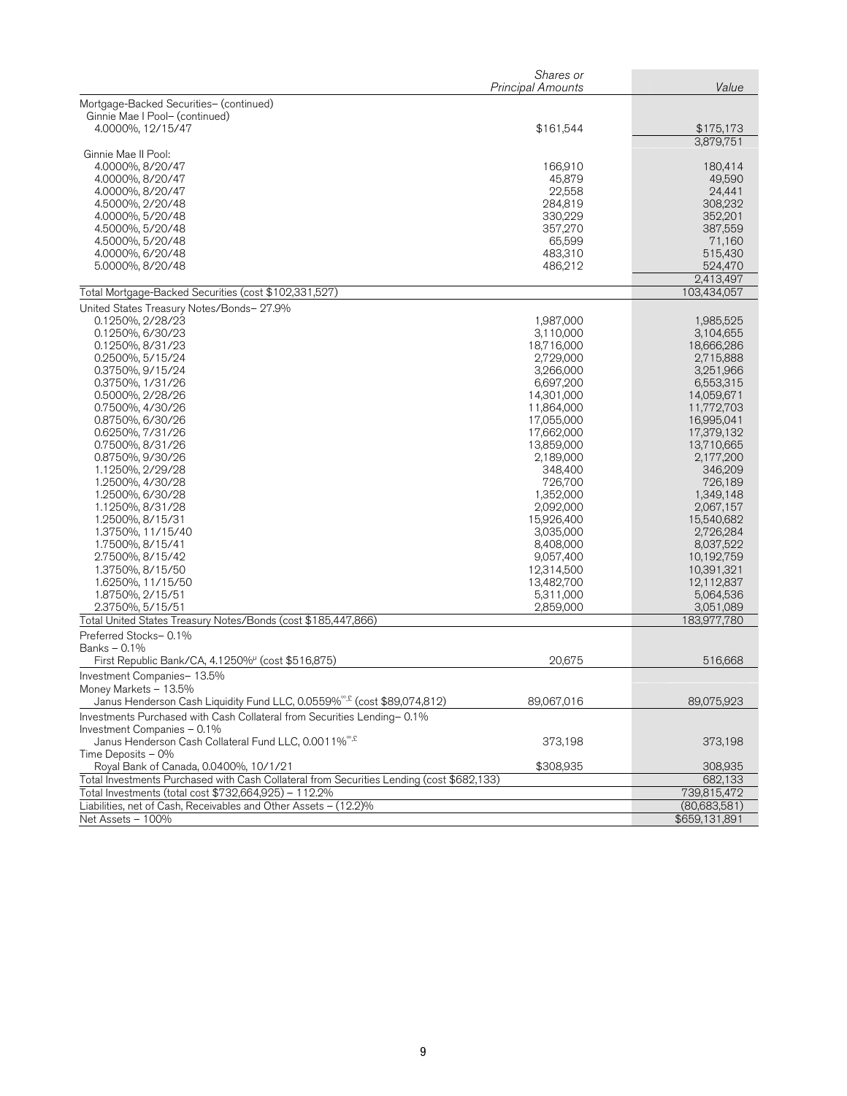|                                                                                           | Shares or         |               |
|-------------------------------------------------------------------------------------------|-------------------|---------------|
|                                                                                           | Principal Amounts | Value         |
| Mortgage-Backed Securities- (continued)                                                   |                   |               |
| Ginnie Mae I Pool- (continued)                                                            |                   |               |
| 4.0000%, 12/15/47                                                                         | \$161,544         | \$175,173     |
|                                                                                           |                   | 3,879,751     |
| Ginnie Mae II Pool:                                                                       |                   |               |
| 4.0000%, 8/20/47                                                                          | 166,910           | 180,414       |
| 4.0000%, 8/20/47                                                                          | 45,879            | 49,590        |
| 4.0000%, 8/20/47                                                                          | 22,558            | 24,441        |
| 4.5000%, 2/20/48                                                                          | 284,819           | 308,232       |
| 4.0000%, 5/20/48                                                                          | 330,229           | 352,201       |
| 4.5000%, 5/20/48                                                                          | 357,270           | 387,559       |
| 4.5000%, 5/20/48                                                                          | 65,599            | 71,160        |
| 4.0000%, 6/20/48                                                                          | 483,310           | 515,430       |
| 5.0000%, 8/20/48                                                                          | 486,212           | 524,470       |
|                                                                                           |                   | 2,413,497     |
| Total Mortgage-Backed Securities (cost \$102,331,527)                                     |                   | 103,434,057   |
|                                                                                           |                   |               |
| United States Treasury Notes/Bonds- 27.9%                                                 |                   |               |
| 0.1250%, 2/28/23                                                                          | 1,987,000         | 1,985,525     |
| 0.1250%, 6/30/23                                                                          | 3,110,000         | 3,104,655     |
| 0.1250%, 8/31/23                                                                          | 18,716,000        | 18,666,286    |
| 0.2500%, 5/15/24                                                                          | 2,729,000         | 2,715,888     |
| 0.3750%, 9/15/24                                                                          | 3,266,000         | 3,251,966     |
| 0.3750%, 1/31/26                                                                          | 6,697,200         | 6,553,315     |
| 0.5000%, 2/28/26                                                                          | 14,301,000        | 14,059,671    |
| 0.7500%, 4/30/26                                                                          | 11,864,000        | 11,772,703    |
| 0.8750%, 6/30/26                                                                          | 17,055,000        | 16,995,041    |
| 0.6250%, 7/31/26                                                                          | 17,662,000        | 17,379,132    |
| 0.7500%, 8/31/26                                                                          | 13,859,000        | 13,710,665    |
| 0.8750%, 9/30/26                                                                          | 2,189,000         | 2,177,200     |
| 1.1250%, 2/29/28                                                                          | 348,400           | 346,209       |
| 1.2500%, 4/30/28                                                                          | 726,700           | 726,189       |
| 1.2500%, 6/30/28                                                                          | 1,352,000         | 1,349,148     |
| 1.1250%, 8/31/28                                                                          | 2,092,000         | 2,067,157     |
| 1.2500%, 8/15/31                                                                          | 15,926,400        | 15,540,682    |
| 1.3750%, 11/15/40                                                                         | 3,035,000         | 2,726,284     |
| 1.7500%, 8/15/41                                                                          | 8,408,000         | 8,037,522     |
| 2.7500%, 8/15/42                                                                          | 9,057,400         | 10,192,759    |
| 1.3750%, 8/15/50                                                                          | 12,314,500        | 10,391,321    |
| 1.6250%, 11/15/50                                                                         | 13,482,700        | 12,112,837    |
| 1.8750%, 2/15/51                                                                          | 5,311,000         | 5,064,536     |
| 2.3750%, 5/15/51                                                                          | 2,859,000         | 3,051,089     |
| Total United States Treasury Notes/Bonds (cost \$185,447,866)                             |                   | 183,977,780   |
| Preferred Stocks-0.1%                                                                     |                   |               |
| Banks - 0.1%                                                                              |                   |               |
| First Republic Bank/CA, 4.1250% <sup>µ</sup> (cost \$516,875)                             | 20,675            | 516,668       |
| Investment Companies-13.5%                                                                |                   |               |
| Money Markets - 13.5%                                                                     |                   |               |
| Janus Henderson Cash Liquidity Fund LLC, 0.0559% <sup>®,£</sup> (cost \$89,074,812)       | 89,067,016        | 89,075,923    |
| Investments Purchased with Cash Collateral from Securities Lending-0.1%                   |                   |               |
| Investment Companies - 0.1%                                                               |                   |               |
| Janus Henderson Cash Collateral Fund LLC, 0.0011% <sup>®,£</sup>                          | 373,198           | 373,198       |
| Time Deposits $-0\%$                                                                      |                   |               |
| Royal Bank of Canada, 0.0400%, 10/1/21                                                    | \$308,935         | 308,935       |
| Total Investments Purchased with Cash Collateral from Securities Lending (cost \$682,133) |                   | 682,133       |
| Total Investments (total cost \$732,664,925) - 112.2%                                     |                   |               |
|                                                                                           |                   | 739,815,472   |
| Liabilities, net of Cash, Receivables and Other Assets - (12.2)%                          |                   | (80,683,581)  |
| Net Assets - 100%                                                                         |                   | \$659,131,891 |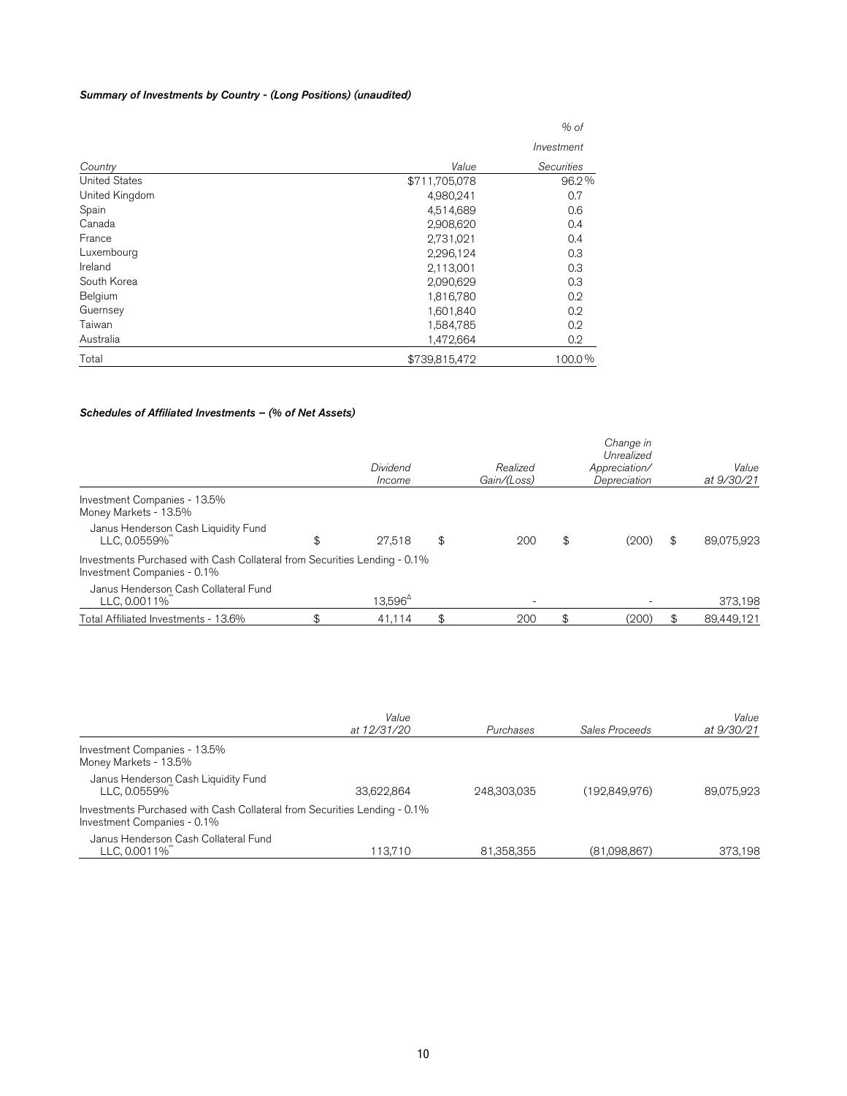#### Summary of Investments by Country - (Long Positions) (unaudited)

| Total                | \$739,815,472 | 100.0%     |
|----------------------|---------------|------------|
| Australia            | 1,472,664     | 0.2        |
| Taiwan               | 1,584,785     | 0.2        |
| Guernsey             | 1,601,840     | 0.2        |
| Belgium              | 1,816,780     | 0.2        |
| South Korea          | 2,090,629     | 0.3        |
| Ireland              | 2,113,001     | 0.3        |
| Luxembourg           | 2,296,124     | 0.3        |
| France               | 2,731,021     | 0.4        |
| Canada               | 2,908,620     | 0.4        |
| Spain                | 4,514,689     | 0.6        |
| United Kingdom       | 4,980,241     | 0.7        |
| <b>United States</b> | \$711,705,078 | 96.2%      |
| Country              | Value         | Securities |
|                      |               | Investment |
|                      |               | % of       |

#### Schedules of Affiliated Investments – (% of Net Assets)

|                                                                                                          | Dividend<br>Income | Realized<br>Gain/(Loss) | Change in<br>Unrealized<br>Appreciation/<br>Depreciation | Value<br>at 9/30/21 |
|----------------------------------------------------------------------------------------------------------|--------------------|-------------------------|----------------------------------------------------------|---------------------|
| Investment Companies - 13.5%<br>Money Markets - 13.5%                                                    |                    |                         |                                                          |                     |
| Janus Henderson Cash Liquidity Fund<br>LLC, 0.0559%                                                      | \$<br>27.518       | \$<br>200               | \$<br>(200)                                              | \$<br>89,075,923    |
| Investments Purchased with Cash Collateral from Securities Lending - 0.1%<br>Investment Companies - 0.1% |                    |                         |                                                          |                     |
| Janus Henderson Cash Collateral Fund<br>LLC, 0.0011%                                                     | $13.596^{\circ}$   |                         |                                                          | 373,198             |
| Total Affiliated Investments - 13.6%                                                                     | 41.114             | 200                     | (200)                                                    | 89,449,121          |

|                                                                                                          | Value<br>at 12/31/20 | Purchases   | Sales Proceeds | Value<br>at 9/30/21 |
|----------------------------------------------------------------------------------------------------------|----------------------|-------------|----------------|---------------------|
| Investment Companies - 13.5%<br>Money Markets - 13.5%                                                    |                      |             |                |                     |
| Janus Henderson Cash Liquidity Fund<br>LLC, 0.0559%                                                      | 33.622.864           | 248,303,035 | (192,849,976)  | 89.075.923          |
| Investments Purchased with Cash Collateral from Securities Lending - 0.1%<br>Investment Companies - 0.1% |                      |             |                |                     |
| Janus Henderson Cash Collateral Fund<br>LLC, 0.0011%                                                     | 113.710              | 81,358,355  | (81,098,867)   | 373,198             |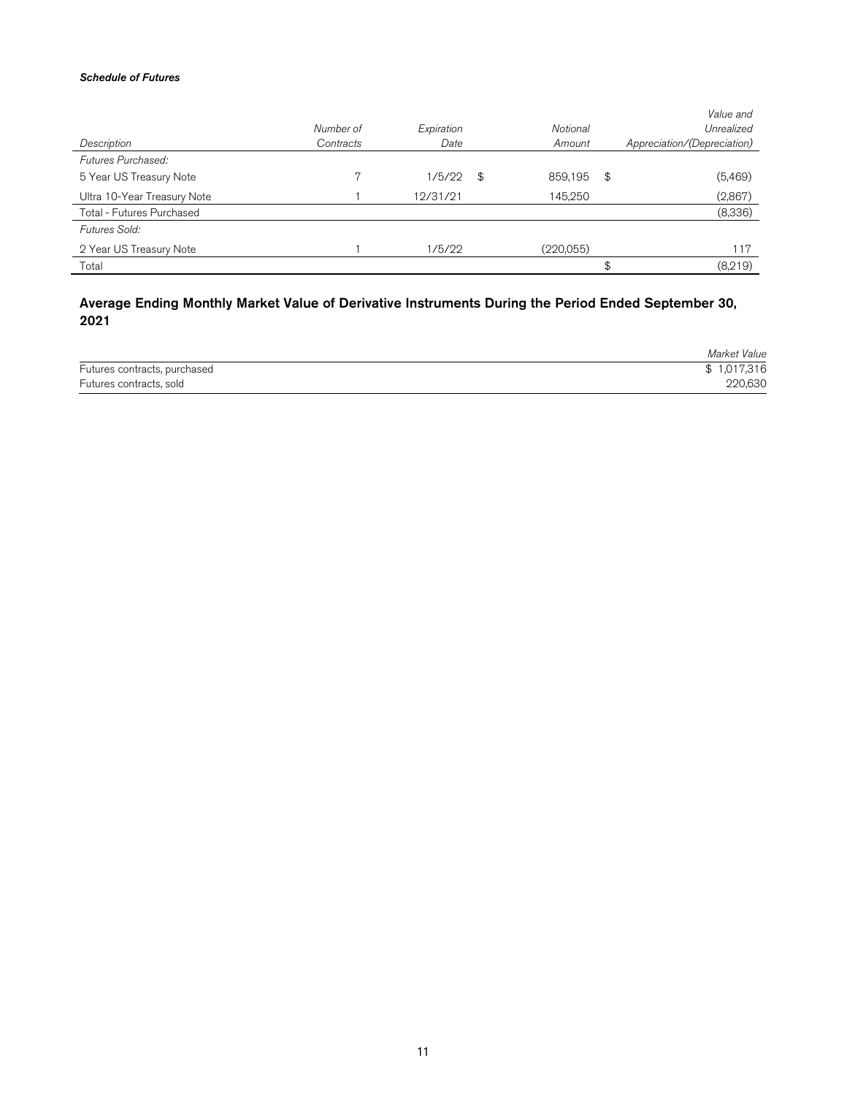#### Schedule of Futures

|                             |           |            |               | Value and                   |
|-----------------------------|-----------|------------|---------------|-----------------------------|
|                             | Number of | Expiration | Notional      | Unrealized                  |
| Description                 | Contracts | Date       | Amount        | Appreciation/(Depreciation) |
| Futures Purchased:          |           |            |               |                             |
| 5 Year US Treasury Note     |           | 1/5/22     | \$<br>859,195 | \$<br>(5,469)               |
| Ultra 10-Year Treasury Note |           | 12/31/21   | 145,250       | (2,867)                     |
| Total - Futures Purchased   |           |            |               | (8,336)                     |
| Futures Sold:               |           |            |               |                             |
| 2 Year US Treasury Note     |           | 1/5/22     | (220,055)     | 117                         |
| Total                       |           |            |               | \$<br>(8,219)               |
|                             |           |            |               |                             |

# Average Ending Monthly Market Value of Derivative Instruments During the Period Ended September 30, 2021

|                              | Market Value |
|------------------------------|--------------|
| Futures contracts, purchased | \$1,017,316  |
| Futures contracts, sold      | 220,630      |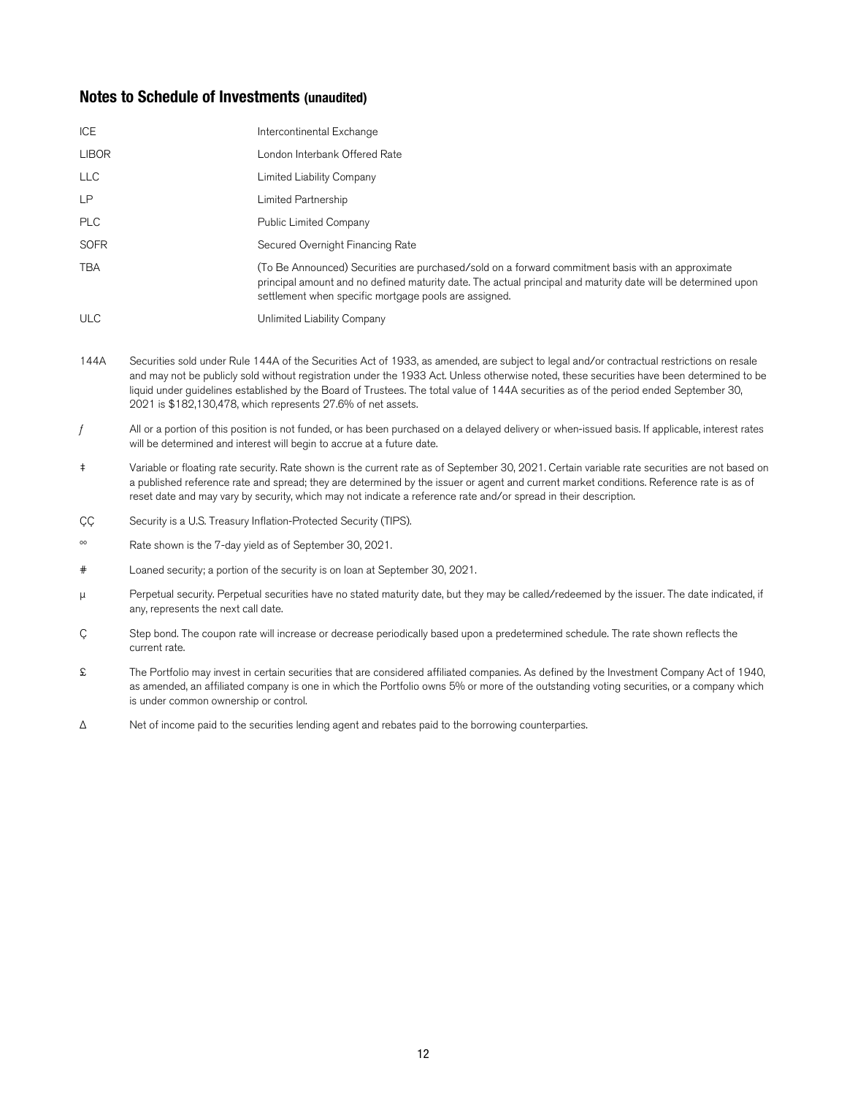# **Notes to Schedule of Investments (unaudited)**

| ICE          | Intercontinental Exchange                                                                                                                                                                                                                                                   |
|--------------|-----------------------------------------------------------------------------------------------------------------------------------------------------------------------------------------------------------------------------------------------------------------------------|
| <b>LIBOR</b> | London Interbank Offered Rate                                                                                                                                                                                                                                               |
| <b>LLC</b>   | Limited Liability Company                                                                                                                                                                                                                                                   |
| <b>LP</b>    | Limited Partnership                                                                                                                                                                                                                                                         |
| <b>PLC</b>   | Public Limited Company                                                                                                                                                                                                                                                      |
| <b>SOFR</b>  | Secured Overnight Financing Rate                                                                                                                                                                                                                                            |
| <b>TBA</b>   | (To Be Announced) Securities are purchased/sold on a forward commitment basis with an approximate<br>principal amount and no defined maturity date. The actual principal and maturity date will be determined upon<br>settlement when specific mortgage pools are assigned. |
| <b>ULC</b>   | Unlimited Liability Company                                                                                                                                                                                                                                                 |

- 144A Securities sold under Rule 144A of the Securities Act of 1933, as amended, are subject to legal and/or contractual restrictions on resale and may not be publicly sold without registration under the 1933 Act. Unless otherwise noted, these securities have been determined to be liquid under guidelines established by the Board of Trustees. The total value of 144A securities as of the period ended September 30, 2021 is \$182,130,478, which represents 27.6% of net assets.
- $f$  All or a portion of this position is not funded, or has been purchased on a delayed delivery or when-issued basis. If applicable, interest rates will be determined and interest will begin to accrue at a future date.
- ‡ Variable or floating rate security. Rate shown is the current rate as of September 30, 2021. Certain variable rate securities are not based on a published reference rate and spread; they are determined by the issuer or agent and current market conditions. Reference rate is as of reset date and may vary by security, which may not indicate a reference rate and/or spread in their description.
- CC Security is a U.S. Treasury Inflation-Protected Security (TIPS).
- ºº Rate shown is the 7-day yield as of September 30, 2021.
- # Loaned security; a portion of the security is on loan at September 30, 2021.
- μ Perpetual security. Perpetual securities have no stated maturity date, but they may be called/redeemed by the issuer. The date indicated, if any, represents the next call date.
- Ç Step bond. The coupon rate will increase or decrease periodically based upon a predetermined schedule. The rate shown reflects the current rate.
- £ The Portfolio may invest in certain securities that are considered affiliated companies. As defined by the Investment Company Act of 1940, as amended, an affiliated company is one in which the Portfolio owns 5% or more of the outstanding voting securities, or a company which is under common ownership or control.
- Δ Net of income paid to the securities lending agent and rebates paid to the borrowing counterparties.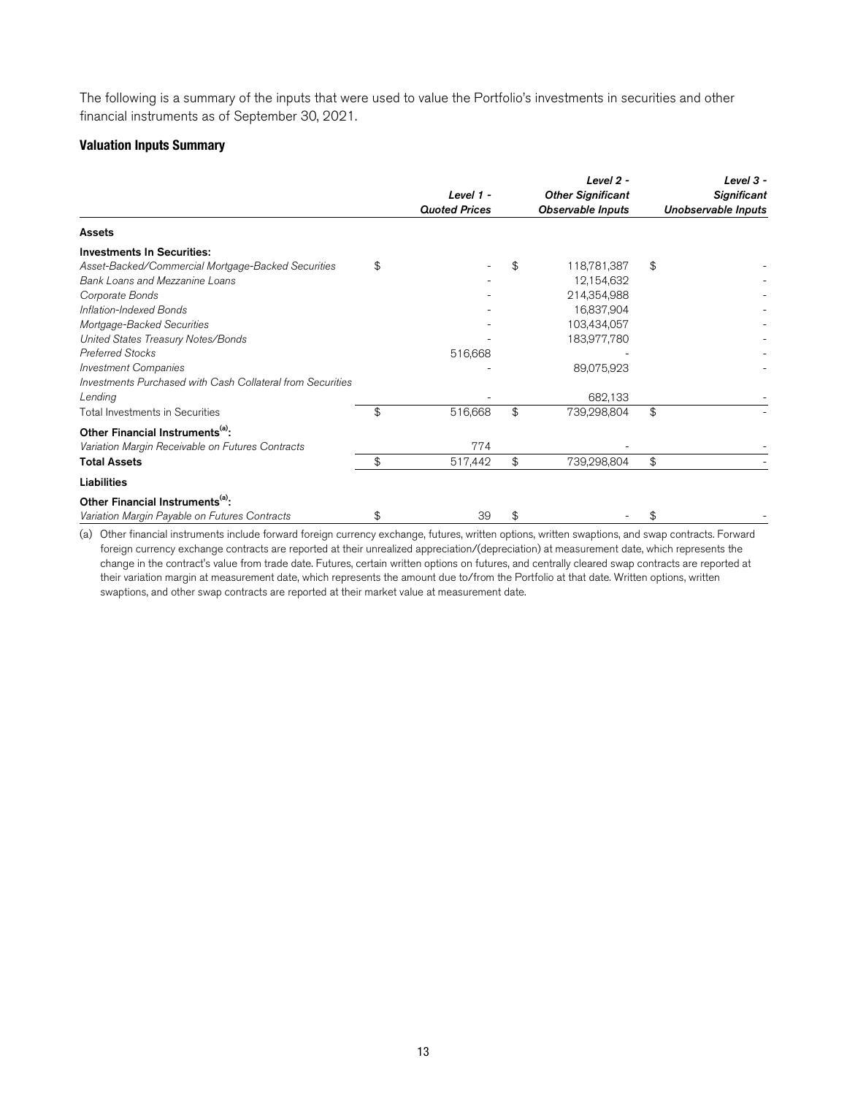The following is a summary of the inputs that were used to value the Portfolio's investments in securities and other financial instruments as of September 30, 2021.

# **Valuation Inputs Summary**

|                                                            | Level 1 -<br><b>Quoted Prices</b> |    | Level $2 -$<br><b>Other Significant</b><br><b>Observable Inputs</b> | Level 3 -<br><b>Significant</b><br>Unobservable Inputs |  |
|------------------------------------------------------------|-----------------------------------|----|---------------------------------------------------------------------|--------------------------------------------------------|--|
| <b>Assets</b>                                              |                                   |    |                                                                     |                                                        |  |
| <b>Investments In Securities:</b>                          |                                   |    |                                                                     |                                                        |  |
| Asset-Backed/Commercial Mortgage-Backed Securities         | \$                                | \$ | 118,781,387                                                         | \$                                                     |  |
| Bank Loans and Mezzanine Loans                             |                                   |    | 12,154,632                                                          |                                                        |  |
| Corporate Bonds                                            |                                   |    | 214,354,988                                                         |                                                        |  |
| Inflation-Indexed Bonds                                    |                                   |    | 16,837,904                                                          |                                                        |  |
| Mortgage-Backed Securities                                 |                                   |    | 103,434,057                                                         |                                                        |  |
| United States Treasury Notes/Bonds                         |                                   |    | 183,977,780                                                         |                                                        |  |
| <b>Preferred Stocks</b>                                    | 516,668                           |    |                                                                     |                                                        |  |
| <b>Investment Companies</b>                                |                                   |    | 89,075,923                                                          |                                                        |  |
| Investments Purchased with Cash Collateral from Securities |                                   |    |                                                                     |                                                        |  |
| Lending                                                    |                                   |    | 682,133                                                             |                                                        |  |
| <b>Total Investments in Securities</b>                     | \$<br>516,668                     | \$ | 739,298,804                                                         | \$                                                     |  |
| Other Financial Instruments <sup>(a)</sup> :               |                                   |    |                                                                     |                                                        |  |
| Variation Margin Receivable on Futures Contracts           | 774                               |    |                                                                     |                                                        |  |
| <b>Total Assets</b>                                        | \$<br>517,442                     | \$ | 739,298,804                                                         | \$                                                     |  |
| <b>Liabilities</b>                                         |                                   |    |                                                                     |                                                        |  |
| Other Financial Instruments <sup>(a)</sup> :               |                                   |    |                                                                     |                                                        |  |
| Variation Margin Payable on Futures Contracts              | \$<br>39                          | \$ |                                                                     | \$                                                     |  |

(a) Other financial instruments include forward foreign currency exchange, futures, written options, written swaptions, and swap contracts. Forward foreign currency exchange contracts are reported at their unrealized appreciation/(depreciation) at measurement date, which represents the change in the contract's value from trade date. Futures, certain written options on futures, and centrally cleared swap contracts are reported at their variation margin at measurement date, which represents the amount due to/from the Portfolio at that date. Written options, written swaptions, and other swap contracts are reported at their market value at measurement date.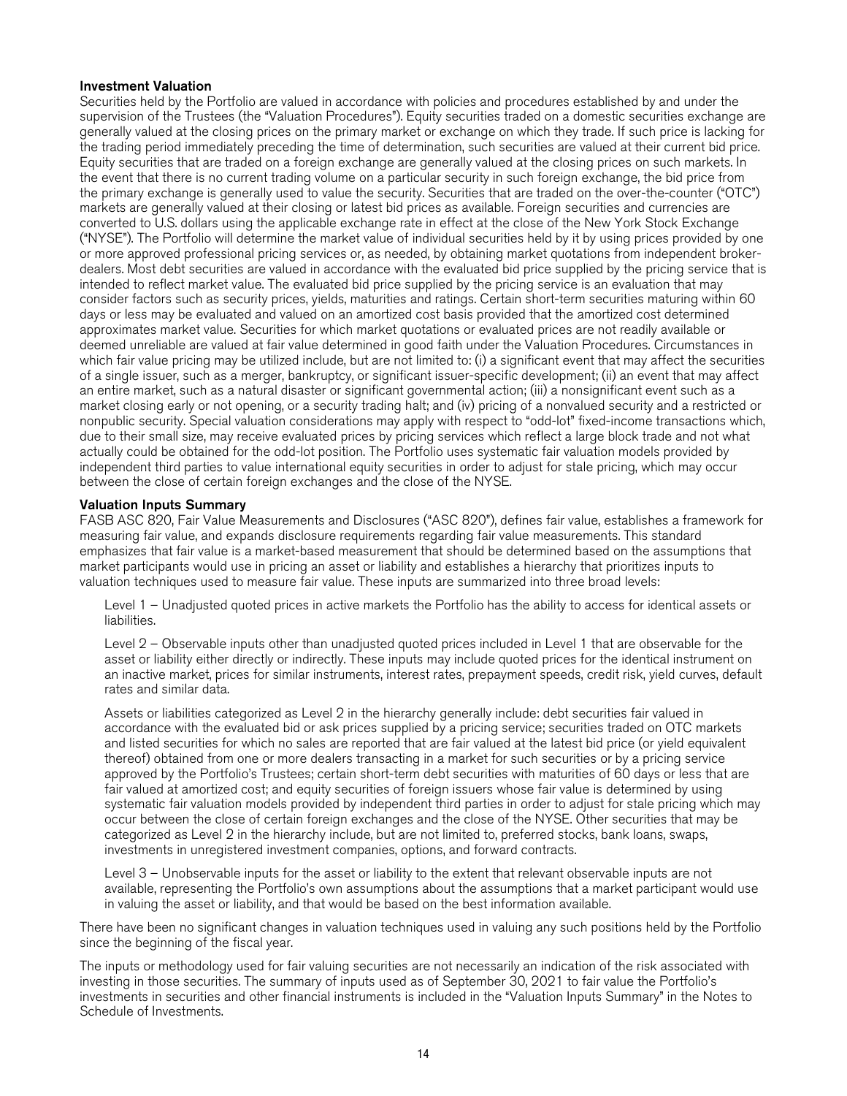## Investment Valuation

Securities held by the Portfolio are valued in accordance with policies and procedures established by and under the supervision of the Trustees (the "Valuation Procedures"). Equity securities traded on a domestic securities exchange are generally valued at the closing prices on the primary market or exchange on which they trade. If such price is lacking for the trading period immediately preceding the time of determination, such securities are valued at their current bid price. Equity securities that are traded on a foreign exchange are generally valued at the closing prices on such markets. In the event that there is no current trading volume on a particular security in such foreign exchange, the bid price from the primary exchange is generally used to value the security. Securities that are traded on the over-the-counter ("OTC") markets are generally valued at their closing or latest bid prices as available. Foreign securities and currencies are converted to U.S. dollars using the applicable exchange rate in effect at the close of the New York Stock Exchange ("NYSE"). The Portfolio will determine the market value of individual securities held by it by using prices provided by one or more approved professional pricing services or, as needed, by obtaining market quotations from independent brokerdealers. Most debt securities are valued in accordance with the evaluated bid price supplied by the pricing service that is intended to reflect market value. The evaluated bid price supplied by the pricing service is an evaluation that may consider factors such as security prices, yields, maturities and ratings. Certain short-term securities maturing within 60 days or less may be evaluated and valued on an amortized cost basis provided that the amortized cost determined approximates market value. Securities for which market quotations or evaluated prices are not readily available or deemed unreliable are valued at fair value determined in good faith under the Valuation Procedures. Circumstances in which fair value pricing may be utilized include, but are not limited to: (i) a significant event that may affect the securities of a single issuer, such as a merger, bankruptcy, or significant issuer-specific development; (ii) an event that may affect an entire market, such as a natural disaster or significant governmental action; (iii) a nonsignificant event such as a market closing early or not opening, or a security trading halt; and (iv) pricing of a nonvalued security and a restricted or nonpublic security. Special valuation considerations may apply with respect to "odd-lot" fixed-income transactions which, due to their small size, may receive evaluated prices by pricing services which reflect a large block trade and not what actually could be obtained for the odd-lot position. The Portfolio uses systematic fair valuation models provided by independent third parties to value international equity securities in order to adjust for stale pricing, which may occur between the close of certain foreign exchanges and the close of the NYSE.

## Valuation Inputs Summary

FASB ASC 820, Fair Value Measurements and Disclosures ("ASC 820"), defines fair value, establishes a framework for measuring fair value, and expands disclosure requirements regarding fair value measurements. This standard emphasizes that fair value is a market-based measurement that should be determined based on the assumptions that market participants would use in pricing an asset or liability and establishes a hierarchy that prioritizes inputs to valuation techniques used to measure fair value. These inputs are summarized into three broad levels:

Level 1 – Unadjusted quoted prices in active markets the Portfolio has the ability to access for identical assets or liabilities.

Level 2 – Observable inputs other than unadjusted quoted prices included in Level 1 that are observable for the asset or liability either directly or indirectly. These inputs may include quoted prices for the identical instrument on an inactive market, prices for similar instruments, interest rates, prepayment speeds, credit risk, yield curves, default rates and similar data.

Assets or liabilities categorized as Level 2 in the hierarchy generally include: debt securities fair valued in accordance with the evaluated bid or ask prices supplied by a pricing service; securities traded on OTC markets and listed securities for which no sales are reported that are fair valued at the latest bid price (or yield equivalent thereof) obtained from one or more dealers transacting in a market for such securities or by a pricing service approved by the Portfolio's Trustees; certain short-term debt securities with maturities of 60 days or less that are fair valued at amortized cost; and equity securities of foreign issuers whose fair value is determined by using systematic fair valuation models provided by independent third parties in order to adjust for stale pricing which may occur between the close of certain foreign exchanges and the close of the NYSE. Other securities that may be categorized as Level 2 in the hierarchy include, but are not limited to, preferred stocks, bank loans, swaps, investments in unregistered investment companies, options, and forward contracts.

Level 3 – Unobservable inputs for the asset or liability to the extent that relevant observable inputs are not available, representing the Portfolio's own assumptions about the assumptions that a market participant would use in valuing the asset or liability, and that would be based on the best information available.

There have been no significant changes in valuation techniques used in valuing any such positions held by the Portfolio since the beginning of the fiscal year.

The inputs or methodology used for fair valuing securities are not necessarily an indication of the risk associated with investing in those securities. The summary of inputs used as of September 30, 2021 to fair value the Portfolio's investments in securities and other financial instruments is included in the "Valuation Inputs Summary" in the Notes to Schedule of Investments.